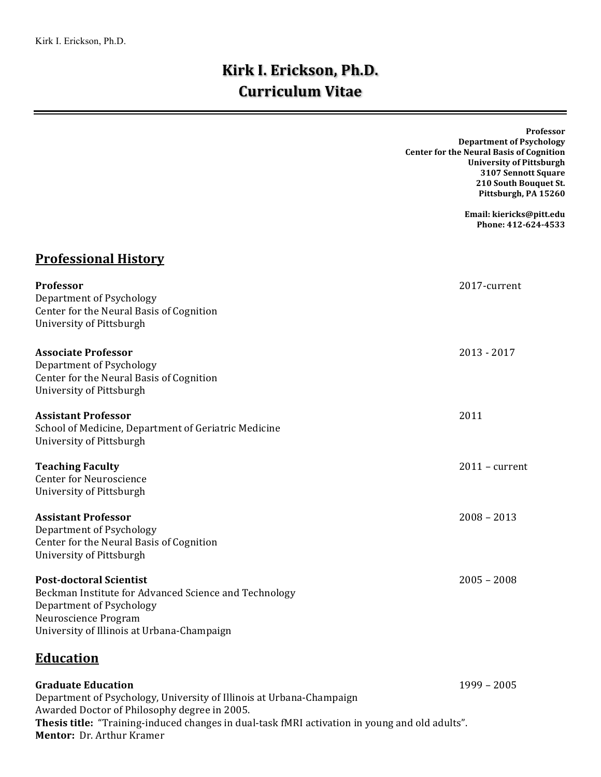# **Kirk I. Erickson, Ph.D. Curriculum Vitae**

|                                                                                                                                                                                           | <b>Professor</b><br><b>Department of Psychology</b><br><b>Center for the Neural Basis of Cognition</b><br><b>University of Pittsburgh</b><br>3107 Sennott Square<br>210 South Bouquet St.<br>Pittsburgh, PA 15260 |
|-------------------------------------------------------------------------------------------------------------------------------------------------------------------------------------------|-------------------------------------------------------------------------------------------------------------------------------------------------------------------------------------------------------------------|
|                                                                                                                                                                                           | Email: kiericks@pitt.edu<br>Phone: 412-624-4533                                                                                                                                                                   |
| <b>Professional History</b>                                                                                                                                                               |                                                                                                                                                                                                                   |
| Professor<br>Department of Psychology<br>Center for the Neural Basis of Cognition<br>University of Pittsburgh                                                                             | 2017-current                                                                                                                                                                                                      |
| <b>Associate Professor</b><br>Department of Psychology<br>Center for the Neural Basis of Cognition<br>University of Pittsburgh                                                            | $2013 - 2017$                                                                                                                                                                                                     |
| <b>Assistant Professor</b><br>School of Medicine, Department of Geriatric Medicine<br>University of Pittsburgh                                                                            | 2011                                                                                                                                                                                                              |
| <b>Teaching Faculty</b><br><b>Center for Neuroscience</b><br>University of Pittsburgh                                                                                                     | $2011$ – current                                                                                                                                                                                                  |
| <b>Assistant Professor</b><br>Department of Psychology<br>Center for the Neural Basis of Cognition<br>University of Pittsburgh                                                            | $2008 - 2013$                                                                                                                                                                                                     |
| <b>Post-doctoral Scientist</b><br>Beckman Institute for Advanced Science and Technology<br>Department of Psychology<br>Neuroscience Program<br>University of Illinois at Urbana-Champaign | $2005 - 2008$                                                                                                                                                                                                     |
| <b>Education</b>                                                                                                                                                                          |                                                                                                                                                                                                                   |
| <b>Graduate Education</b>                                                                                                                                                                 | $1999 - 2005$                                                                                                                                                                                                     |

Department of Psychology, University of Illinois at Urbana-Champaign Awarded Doctor of Philosophy degree in 2005. Thesis title: "Training-induced changes in dual-task fMRI activation in young and old adults". **Mentor:** Dr. Arthur Kramer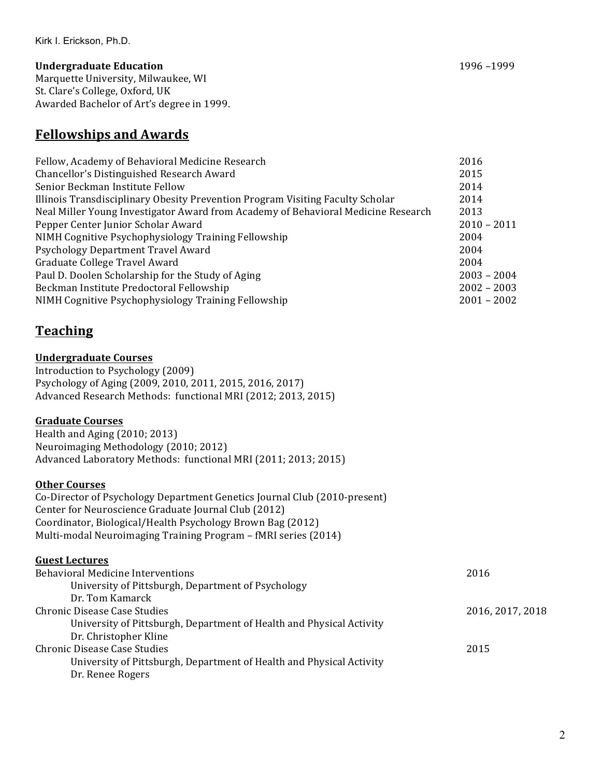### **Undergraduate Education**  1996 –1999

Marquette University, Milwaukee, WI St. Clare's College, Oxford, UK Awarded Bachelor of Art's degree in 1999.

# **Fellowships and Awards**

| Fellow, Academy of Behavioral Medicine Research                                   | 2016          |
|-----------------------------------------------------------------------------------|---------------|
| Chancellor's Distinguished Research Award                                         | 2015          |
| Senior Beckman Institute Fellow                                                   | 2014          |
| Illinois Transdisciplinary Obesity Prevention Program Visiting Faculty Scholar    | 2014          |
| Neal Miller Young Investigator Award from Academy of Behavioral Medicine Research | 2013          |
| Pepper Center Junior Scholar Award                                                | $2010 - 2011$ |
| NIMH Cognitive Psychophysiology Training Fellowship                               | 2004          |
| Psychology Department Travel Award                                                | 2004          |
| Graduate College Travel Award                                                     | 2004          |
| Paul D. Doolen Scholarship for the Study of Aging                                 | $2003 - 2004$ |
| Beckman Institute Predoctoral Fellowship                                          | $2002 - 2003$ |
| NIMH Cognitive Psychophysiology Training Fellowship                               | $2001 - 2002$ |
|                                                                                   |               |

# **Teaching**

#### **Undergraduate Courses**

Introduction to Psychology (2009) Psychology of Aging (2009, 2010, 2011, 2015, 2016, 2017) Advanced Research Methods: functional MRI (2012; 2013, 2015)

#### **Graduate Courses**

Health and Aging  $(2010; 2013)$ Neuroimaging Methodology (2010; 2012) Advanced Laboratory Methods: functional MRI (2011; 2013; 2015)

#### **Other Courses**

Co-Director of Psychology Department Genetics Journal Club (2010-present) Center for Neuroscience Graduate Journal Club (2012) Coordinator, Biological/Health Psychology Brown Bag (2012) Multi-modal Neuroimaging Training Program – fMRI series (2014)

#### **Guest Lectures**

| <b>Behavioral Medicine Interventions</b>                             | 2016             |
|----------------------------------------------------------------------|------------------|
| University of Pittsburgh, Department of Psychology                   |                  |
| Dr. Tom Kamarck                                                      |                  |
| Chronic Disease Case Studies                                         | 2016, 2017, 2018 |
| University of Pittsburgh, Department of Health and Physical Activity |                  |
| Dr. Christopher Kline                                                |                  |
| <b>Chronic Disease Case Studies</b>                                  | 2015             |
| University of Pittsburgh, Department of Health and Physical Activity |                  |
| Dr. Renee Rogers                                                     |                  |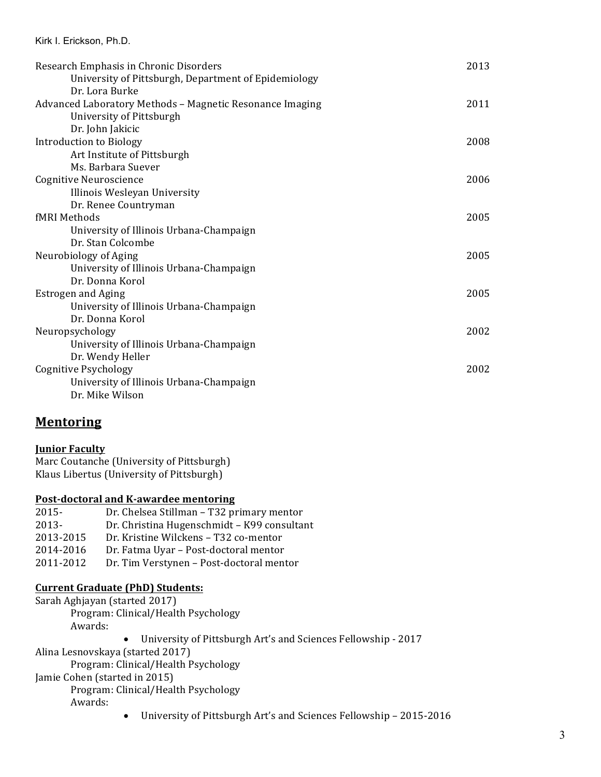| Research Emphasis in Chronic Disorders                   | 2013 |
|----------------------------------------------------------|------|
| University of Pittsburgh, Department of Epidemiology     |      |
| Dr. Lora Burke                                           |      |
| Advanced Laboratory Methods - Magnetic Resonance Imaging | 2011 |
| University of Pittsburgh                                 |      |
| Dr. John Jakicic                                         |      |
| Introduction to Biology                                  | 2008 |
| Art Institute of Pittsburgh                              |      |
| Ms. Barbara Suever                                       |      |
| <b>Cognitive Neuroscience</b>                            | 2006 |
| Illinois Wesleyan University                             |      |
| Dr. Renee Countryman                                     |      |
| fMRI Methods                                             | 2005 |
| University of Illinois Urbana-Champaign                  |      |
| Dr. Stan Colcombe                                        |      |
| Neurobiology of Aging                                    | 2005 |
| University of Illinois Urbana-Champaign                  |      |
| Dr. Donna Korol                                          |      |
| <b>Estrogen and Aging</b>                                | 2005 |
| University of Illinois Urbana-Champaign                  |      |
| Dr. Donna Korol                                          |      |
| Neuropsychology                                          | 2002 |
| University of Illinois Urbana-Champaign                  |      |
| Dr. Wendy Heller                                         |      |
| Cognitive Psychology                                     | 2002 |
| University of Illinois Urbana-Champaign                  |      |
| Dr. Mike Wilson                                          |      |

# **Mentoring**

#### **Junior Faculty**

Marc Coutanche (University of Pittsburgh) Klaus Libertus (University of Pittsburgh)

#### **Post-doctoral and K-awardee mentoring**

2015- Dr. Chelsea Stillman - T32 primary mentor 2013- Dr. Christina Hugenschmidt – K99 consultant 2013-2015 Dr. Kristine Wilckens – T32 co-mentor 2014-2016 Dr. Fatma Uyar - Post-doctoral mentor 2011-2012 Dr. Tim Verstynen - Post-doctoral mentor

## **Current Graduate (PhD) Students:**

Sarah Aghjayan (started 2017) Program: Clinical/Health Psychology Awards: • University of Pittsburgh Art's and Sciences Fellowship - 2017

Alina Lesnovskaya (started 2017)

Program: Clinical/Health Psychology

Jamie Cohen (started in 2015)

Program: Clinical/Health Psychology Awards:

• University of Pittsburgh Art's and Sciences Fellowship - 2015-2016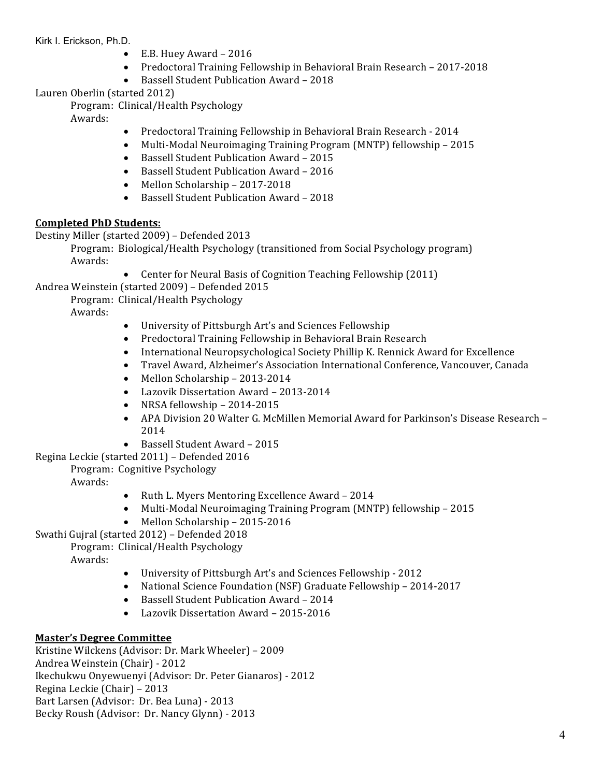- E.B. Huey Award  $-2016$
- Predoctoral Training Fellowship in Behavioral Brain Research 2017-2018
- Bassell Student Publication Award 2018

Lauren Oberlin (started 2012)

Program: Clinical/Health Psychology

Awards:

- Predoctoral Training Fellowship in Behavioral Brain Research 2014
- Multi-Modal Neuroimaging Training Program (MNTP) fellowship 2015
- Bassell Student Publication Award 2015
- Bassell Student Publication Award 2016
- Mellon Scholarship 2017-2018
- Bassell Student Publication Award 2018

#### **Completed PhD Students:**

Destiny Miller (started 2009) - Defended 2013

Program: Biological/Health Psychology (transitioned from Social Psychology program) Awards:

• Center for Neural Basis of Cognition Teaching Fellowship (2011)

Andrea Weinstein (started 2009) - Defended 2015

Program: Clinical/Health Psychology

Awards: 

- University of Pittsburgh Art's and Sciences Fellowship
- Predoctoral Training Fellowship in Behavioral Brain Research
- International Neuropsychological Society Phillip K. Rennick Award for Excellence
- Travel Award, Alzheimer's Association International Conference, Vancouver, Canada
- Mellon Scholarship  $-2013-2014$
- Lazovik Dissertation Award 2013-2014
- NRSA fellowship  $-2014-2015$
- APA Division 20 Walter G. McMillen Memorial Award for Parkinson's Disease Research 2014
- Bassell Student Award 2015
- Regina Leckie (started 2011) Defended 2016

Program: Cognitive Psychology

Awards:

- Ruth L. Myers Mentoring Excellence Award 2014
- Multi-Modal Neuroimaging Training Program (MNTP) fellowship 2015
- Mellon Scholarship 2015-2016

Swathi Gujral (started 2012) - Defended 2018

Program: Clinical/Health Psychology

Awards:

- University of Pittsburgh Art's and Sciences Fellowship 2012
- National Science Foundation (NSF) Graduate Fellowship 2014-2017
- Bassell Student Publication Award 2014
- Lazovik Dissertation Award 2015-2016

### **Master's Degree Committee**

Kristine Wilckens (Advisor: Dr. Mark Wheeler) - 2009 Andrea Weinstein (Chair) - 2012 Ikechukwu Onyewuenyi (Advisor: Dr. Peter Gianaros) - 2012 Regina Leckie (Chair) – 2013 Bart Larsen (Advisor: Dr. Bea Luna) - 2013 Becky Roush (Advisor: Dr. Nancy Glynn) - 2013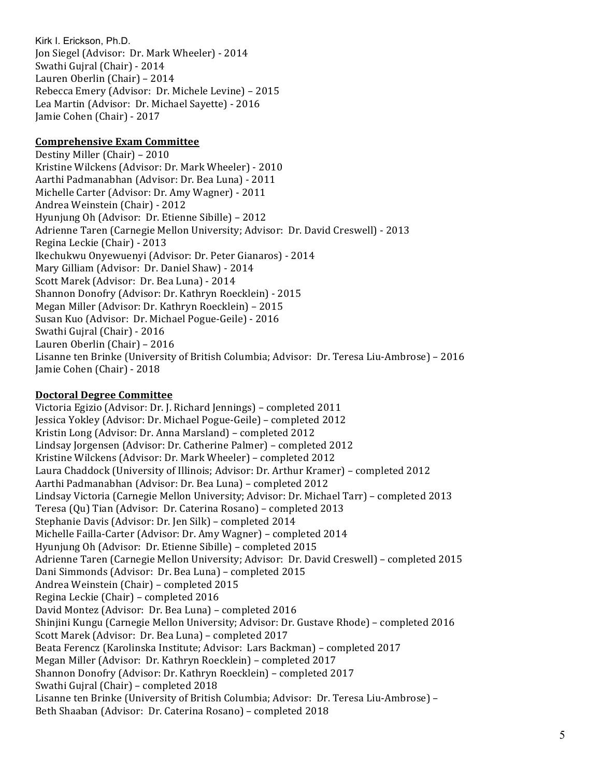Kirk I. Erickson, Ph.D. Jon Siegel (Advisor: Dr. Mark Wheeler) - 2014 Swathi Gujral (Chair) - 2014 Lauren Oberlin (Chair) - 2014 Rebecca Emery (Advisor: Dr. Michele Levine) - 2015 Lea Martin (Advisor: Dr. Michael Sayette) - 2016 Jamie Cohen (Chair) - 2017

#### **Comprehensive Exam Committee**

Destiny Miller (Chair) - 2010 Kristine Wilckens (Advisor: Dr. Mark Wheeler) - 2010 Aarthi Padmanabhan (Advisor: Dr. Bea Luna) - 2011 Michelle Carter (Advisor: Dr. Amy Wagner) - 2011 Andrea Weinstein (Chair) - 2012 Hyunjung Oh (Advisor: Dr. Etienne Sibille) – 2012 Adrienne Taren (Carnegie Mellon University; Advisor: Dr. David Creswell) - 2013 Regina Leckie (Chair) - 2013 Ikechukwu Onyewuenyi (Advisor: Dr. Peter Gianaros) - 2014 Mary Gilliam (Advisor: Dr. Daniel Shaw) - 2014 Scott Marek (Advisor: Dr. Bea Luna) - 2014 Shannon Donofry (Advisor: Dr. Kathryn Roecklein) - 2015 Megan Miller (Advisor: Dr. Kathryn Roecklein) – 2015 Susan Kuo (Advisor: Dr. Michael Pogue-Geile) - 2016 Swathi Gujral (Chair) - 2016 Lauren Oberlin (Chair) - 2016 Lisanne ten Brinke (University of British Columbia; Advisor: Dr. Teresa Liu-Ambrose) - 2016 Jamie Cohen (Chair) - 2018

#### **Doctoral Degree Committee**

Victoria Egizio (Advisor: Dr. J. Richard Jennings) – completed 2011 Jessica Yokley (Advisor: Dr. Michael Pogue-Geile) - completed 2012 Kristin Long (Advisor: Dr. Anna Marsland) – completed 2012 Lindsay Jorgensen (Advisor: Dr. Catherine Palmer) – completed 2012 Kristine Wilckens (Advisor: Dr. Mark Wheeler) – completed 2012 Laura Chaddock (University of Illinois; Advisor: Dr. Arthur Kramer) – completed 2012 Aarthi Padmanabhan (Advisor: Dr. Bea Luna) – completed 2012 Lindsay Victoria (Carnegie Mellon University; Advisor: Dr. Michael Tarr) – completed 2013 Teresa (Qu) Tian (Advisor: Dr. Caterina Rosano) – completed 2013 Stephanie Davis (Advisor: Dr. Jen Silk) – completed 2014 Michelle Failla-Carter (Advisor: Dr. Amy Wagner) - completed 2014 Hyunjung Oh (Advisor: Dr. Etienne Sibille) – completed 2015 Adrienne Taren (Carnegie Mellon University; Advisor: Dr. David Creswell) – completed 2015 Dani Simmonds (Advisor: Dr. Bea Luna) – completed 2015 Andrea Weinstein (Chair) - completed 2015 Regina Leckie (Chair) - completed 2016 David Montez (Advisor: Dr. Bea Luna) - completed 2016 Shinjini Kungu (Carnegie Mellon University; Advisor: Dr. Gustave Rhode) – completed 2016 Scott Marek (Advisor: Dr. Bea Luna) - completed 2017 Beata Ferencz (Karolinska Institute; Advisor: Lars Backman) – completed 2017 Megan Miller (Advisor: Dr. Kathryn Roecklein) – completed 2017 Shannon Donofry (Advisor: Dr. Kathryn Roecklein) - completed 2017 Swathi Gujral (Chair) – completed 2018 Lisanne ten Brinke (University of British Columbia; Advisor: Dr. Teresa Liu-Ambrose) -Beth Shaaban (Advisor: Dr. Caterina Rosano) - completed 2018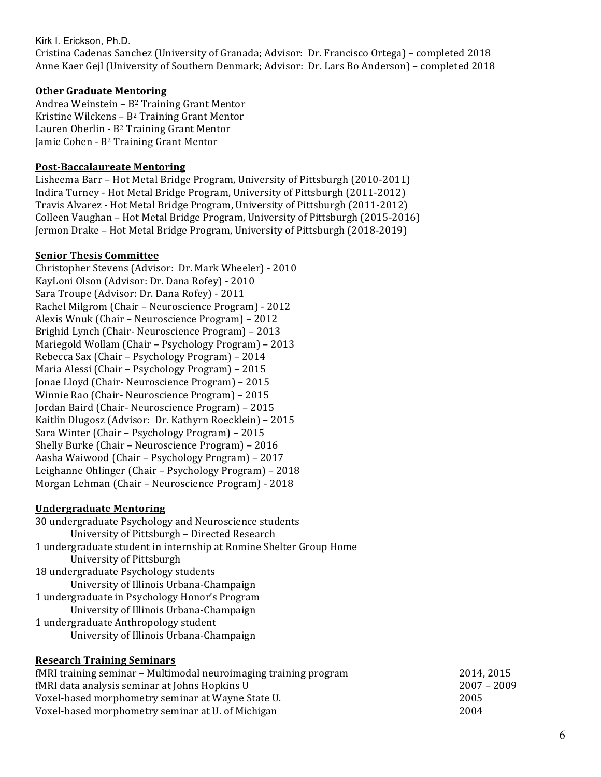Cristina Cadenas Sanchez (University of Granada; Advisor: Dr. Francisco Ortega) – completed 2018 Anne Kaer Geil (University of Southern Denmark; Advisor: Dr. Lars Bo Anderson) – completed 2018

#### **Other Graduate Mentoring**

Andrea Weinstein –  $B^2$  Training Grant Mentor Kristine Wilckens –  $B^2$  Training Grant Mentor Lauren Oberlin - B<sup>2</sup> Training Grant Mentor Jamie Cohen - B<sup>2</sup> Training Grant Mentor

#### **Post-Baccalaureate Mentoring**

Lisheema Barr - Hot Metal Bridge Program, University of Pittsburgh (2010-2011) Indira Turney - Hot Metal Bridge Program, University of Pittsburgh (2011-2012) Travis Alvarez - Hot Metal Bridge Program, University of Pittsburgh (2011-2012) Colleen Vaughan – Hot Metal Bridge Program, University of Pittsburgh (2015-2016) Jermon Drake - Hot Metal Bridge Program, University of Pittsburgh (2018-2019)

#### **Senior Thesis Committee**

Christopher Stevens (Advisor: Dr. Mark Wheeler) - 2010 KayLoni Olson (Advisor: Dr. Dana Rofey) - 2010 Sara Troupe (Advisor: Dr. Dana Rofey) - 2011 Rachel Milgrom (Chair – Neuroscience Program) - 2012 Alexis Wnuk (Chair – Neuroscience Program) – 2012 Brighid Lynch (Chair- Neuroscience Program) – 2013 Mariegold Wollam (Chair - Psychology Program) - 2013 Rebecca Sax (Chair – Psychology Program) – 2014 Maria Alessi (Chair – Psychology Program) – 2015 Jonae Lloyd (Chair- Neuroscience Program) – 2015 Winnie Rao (Chair- Neuroscience Program) – 2015 Jordan Baird (Chair- Neuroscience Program) – 2015 Kaitlin Dlugosz (Advisor: Dr. Kathyrn Roecklein) - 2015 Sara Winter (Chair – Psychology Program) – 2015 Shelly Burke (Chair – Neuroscience Program) – 2016 Aasha Waiwood (Chair – Psychology Program) – 2017 Leighanne Ohlinger (Chair – Psychology Program) – 2018 Morgan Lehman (Chair – Neuroscience Program) - 2018

### **Undergraduate Mentoring**

| 30 undergraduate Psychology and Neuroscience students              |
|--------------------------------------------------------------------|
| University of Pittsburgh - Directed Research                       |
| 1 undergraduate student in internship at Romine Shelter Group Home |
| University of Pittsburgh                                           |
| 18 undergraduate Psychology students                               |
| University of Illinois Urbana-Champaign                            |
| 1 undergraduate in Psychology Honor's Program                      |
| University of Illinois Urbana-Champaign                            |
| 1 undergraduate Anthropology student                               |
| University of Illinois Urbana-Champaign                            |
|                                                                    |

#### **Research Training Seminars**

| fMRI training seminar – Multimodal neuroimaging training program | 2014, 2015  |
|------------------------------------------------------------------|-------------|
| fMRI data analysis seminar at Johns Hopkins U                    | 2007 – 2009 |
| Voxel-based morphometry seminar at Wayne State U.                | 2005        |
| Voxel-based morphometry seminar at U. of Michigan                | 2004        |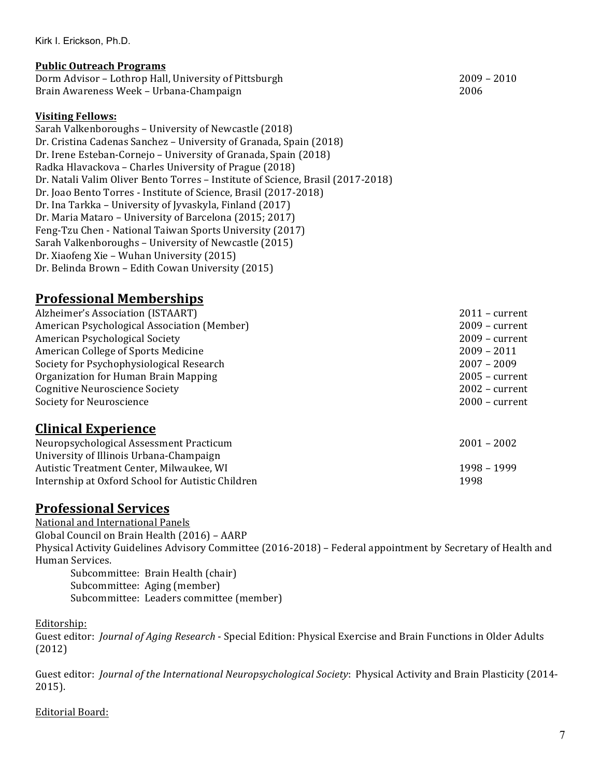#### **Public Outreach Programs**

Dorm Advisor – Lothrop Hall, University of Pittsburgh 2009 – 2009 – 2010 Brain Awareness Week – Urbana-Champaign **Brain Communist Communist Communist Communist Communist Communist Communist Communist Communist Communist Communist Communist Communist Communist Communist Communist Communist Commu** 

#### **Visiting Fellows:**

Sarah Valkenboroughs - University of Newcastle (2018) Dr. Cristina Cadenas Sanchez - University of Granada, Spain (2018) Dr. Irene Esteban-Cornejo - University of Granada, Spain (2018) Radka Hlavackova - Charles University of Prague (2018) Dr. Natali Valim Oliver Bento Torres - Institute of Science, Brasil (2017-2018) Dr. Joao Bento Torres - Institute of Science, Brasil (2017-2018) Dr. Ina Tarkka – University of Jyvaskyla, Finland (2017) Dr. Maria Mataro - University of Barcelona (2015; 2017) Feng-Tzu Chen - National Taiwan Sports University (2017) Sarah Valkenboroughs - University of Newcastle (2015) Dr. Xiaofeng Xie – Wuhan University (2015) Dr. Belinda Brown – Edith Cowan University (2015)

## **Professional Memberships**

| Alzheimer's Association (ISTAART)           | $2011$ – current |
|---------------------------------------------|------------------|
| American Psychological Association (Member) | $2009$ – current |
| American Psychological Society              | $2009$ – current |
| American College of Sports Medicine         | $2009 - 2011$    |
| Society for Psychophysiological Research    | $2007 - 2009$    |
| Organization for Human Brain Mapping        | $2005$ – current |
| <b>Cognitive Neuroscience Society</b>       | $2002$ – current |
| Society for Neuroscience                    | $2000$ – current |
|                                             |                  |

### **Clinical Experience**

| $2001 - 2002$ |
|---------------|
|               |
| 1998 – 1999   |
| 1998          |
|               |

### **Professional Services**

National and International Panels Global Council on Brain Health (2016) - AARP Physical Activity Guidelines Advisory Committee (2016-2018) - Federal appointment by Secretary of Health and Human Services.

Subcommittee: Brain Health (chair) Subcommittee: Aging (member) Subcommittee: Leaders committee (member)

#### Editorship:

Guest editor: *Journal of Aging Research* - Special Edition: Physical Exercise and Brain Functions in Older Adults (2012)

Guest editor: *Journal of the International Neuropsychological Society*: Physical Activity and Brain Plasticity (2014-2015).

#### Editorial Board:

7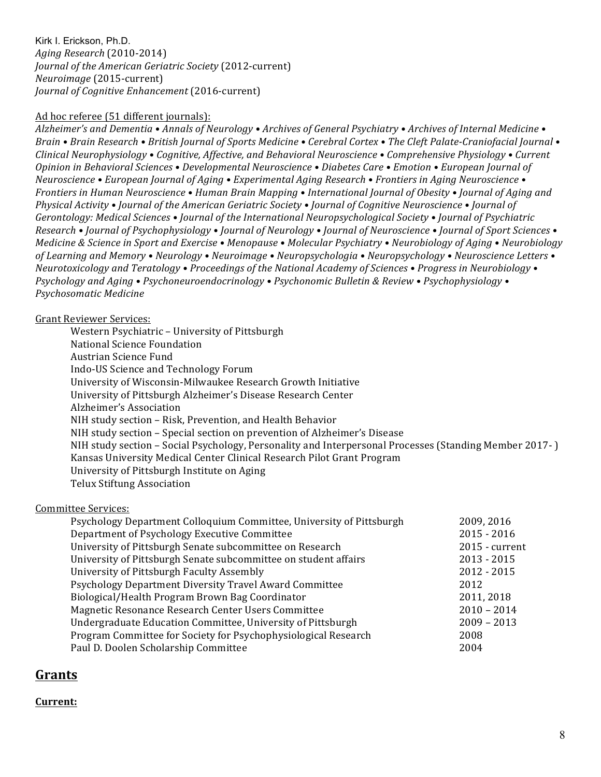Kirk I. Erickson, Ph.D. *Aging Research* (2010-2014) *Journal of the American Geriatric Society (2012-current) Neuroimage* (2015-current) *Journal of Cognitive Enhancement* (2016-current)

#### Ad hoc referee (51 different journals):

Alzheimer's and Dementia • Annals of Neurology • Archives of General Psychiatry • Archives of Internal Medicine • *Brain* • Brain Research • British Journal of Sports Medicine • Cerebral Cortex • The Cleft Palate-Craniofacial Journal • *Clinical Neurophysiology* • *Cognitive, Affective, and Behavioral Neuroscience* • *Comprehensive Physiology* • *Current Opinion in Behavioral Sciences* • *Developmental Neuroscience* • *Diabetes Care* • *Emotion* • *European Journal of Neuroscience • European Journal of Aging • Experimental Aging Research • Frontiers in Aging Neuroscience • Frontiers in Human Neuroscience* • *Human Brain Mapping* • *International Journal of Obesity* • *Journal of Aging and Physical Activity* • *Journal of the American Geriatric Society* • *Journal of Cognitive Neuroscience* • *Journal of Gerontology: Medical Sciences* • *Journal of the International Neuropsychological Society* • *Journal of Psychiatric* **Research •** *Journal of Psychophysiology* • *Journal of Neurology* • *Journal of Neuroscience* • *Journal of Sport Sciences* • *Medicine & Science in Sport and Exercise* • *Menopause* • *Molecular Psychiatry* • *Neurobiology of Aging* • *Neurobiology* of Learning and Memory • Neurology • Neuroimage • Neuropsychologia • Neuropsychology • Neuroscience Letters • *Neurotoxicology and Teratology* • *Proceedings of the National Academy of Sciences* • *Progress in Neurobiology* • *Psychology and Aging* • *Psychoneuroendocrinology* • *Psychonomic Bulletin & Review* • *Psychophysiology* • *Psychosomatic Medicine*

#### Grant Reviewer Services:

| Western Psychiatric - University of Pittsburgh                                                         |
|--------------------------------------------------------------------------------------------------------|
| National Science Foundation                                                                            |
| Austrian Science Fund                                                                                  |
| Indo-US Science and Technology Forum                                                                   |
| University of Wisconsin-Milwaukee Research Growth Initiative                                           |
| University of Pittsburgh Alzheimer's Disease Research Center                                           |
| Alzheimer's Association                                                                                |
| NIH study section – Risk, Prevention, and Health Behavior                                              |
| NIH study section – Special section on prevention of Alzheimer's Disease                               |
| NIH study section - Social Psychology, Personality and Interpersonal Processes (Standing Member 2017-) |
| Kansas University Medical Center Clinical Research Pilot Grant Program                                 |
| University of Pittsburgh Institute on Aging                                                            |
| <b>Telux Stiftung Association</b>                                                                      |

#### Committee Services:

| Psychology Department Colloquium Committee, University of Pittsburgh | 2009, 2016     |
|----------------------------------------------------------------------|----------------|
| Department of Psychology Executive Committee                         | $2015 - 2016$  |
| University of Pittsburgh Senate subcommittee on Research             | 2015 - current |
| University of Pittsburgh Senate subcommittee on student affairs      | $2013 - 2015$  |
| University of Pittsburgh Faculty Assembly                            | $2012 - 2015$  |
| Psychology Department Diversity Travel Award Committee               | 2012           |
| Biological/Health Program Brown Bag Coordinator                      | 2011, 2018     |
| Magnetic Resonance Research Center Users Committee                   | $2010 - 2014$  |
| Undergraduate Education Committee, University of Pittsburgh          | $2009 - 2013$  |
| Program Committee for Society for Psychophysiological Research       | 2008           |
| Paul D. Doolen Scholarship Committee                                 | 2004           |
|                                                                      |                |

### **Grants**

#### **Current:**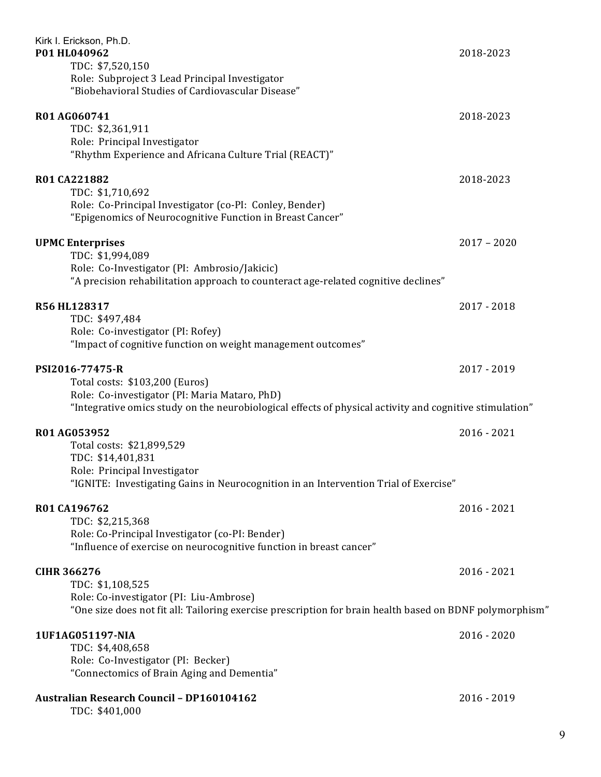| Kirk I. Erickson, Ph.D.<br>P01 HL040962<br>TDC: \$7,520,150<br>Role: Subproject 3 Lead Principal Investigator<br>"Biobehavioral Studies of Cardiovascular Disease"                                            | 2018-2023     |
|---------------------------------------------------------------------------------------------------------------------------------------------------------------------------------------------------------------|---------------|
| <b>R01 AG060741</b><br>TDC: \$2,361,911<br>Role: Principal Investigator<br>"Rhythm Experience and Africana Culture Trial (REACT)"                                                                             | 2018-2023     |
| R01 CA221882<br>TDC: \$1,710,692<br>Role: Co-Principal Investigator (co-PI: Conley, Bender)<br>"Epigenomics of Neurocognitive Function in Breast Cancer"                                                      | 2018-2023     |
| <b>UPMC Enterprises</b><br>TDC: \$1,994,089<br>Role: Co-Investigator (PI: Ambrosio/Jakicic)<br>"A precision rehabilitation approach to counteract age-related cognitive declines"                             | $2017 - 2020$ |
| R56 HL128317<br>TDC: \$497,484<br>Role: Co-investigator (PI: Rofey)<br>"Impact of cognitive function on weight management outcomes"                                                                           | $2017 - 2018$ |
| PSI2016-77475-R<br>Total costs: \$103,200 (Euros)<br>Role: Co-investigator (PI: Maria Mataro, PhD)<br>"Integrative omics study on the neurobiological effects of physical activity and cognitive stimulation" | 2017 - 2019   |
| R01 AG053952<br>Total costs: \$21,899,529<br>TDC: \$14,401,831<br>Role: Principal Investigator<br>"IGNITE: Investigating Gains in Neurocognition in an Intervention Trial of Exercise"                        | 2016 - 2021   |
| R01 CA196762<br>TDC: \$2,215,368<br>Role: Co-Principal Investigator (co-PI: Bender)<br>"Influence of exercise on neurocognitive function in breast cancer"                                                    | $2016 - 2021$ |
| <b>CIHR 366276</b><br>TDC: \$1,108,525<br>Role: Co-investigator (PI: Liu-Ambrose)<br>"One size does not fit all: Tailoring exercise prescription for brain health based on BDNF polymorphism"                 | 2016 - 2021   |
| 1UF1AG051197-NIA<br>TDC: \$4,408,658<br>Role: Co-Investigator (PI: Becker)<br>"Connectomics of Brain Aging and Dementia"                                                                                      | $2016 - 2020$ |
| <b>Australian Research Council - DP160104162</b><br>TDC: \$401,000                                                                                                                                            | 2016 - 2019   |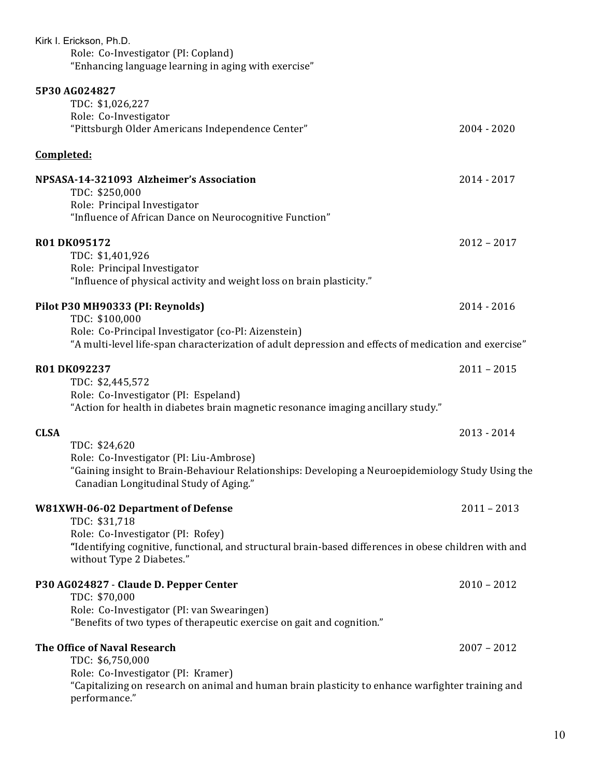| Kirk I. Erickson, Ph.D.<br>Role: Co-Investigator (PI: Copland)<br>"Enhancing language learning in aging with exercise"                                       |               |
|--------------------------------------------------------------------------------------------------------------------------------------------------------------|---------------|
|                                                                                                                                                              |               |
| 5P30AG024827<br>TDC: \$1,026,227                                                                                                                             |               |
| Role: Co-Investigator                                                                                                                                        |               |
| "Pittsburgh Older Americans Independence Center"                                                                                                             | $2004 - 2020$ |
| Completed:                                                                                                                                                   |               |
| NPSASA-14-321093 Alzheimer's Association                                                                                                                     | 2014 - 2017   |
| TDC: \$250,000                                                                                                                                               |               |
| Role: Principal Investigator<br>"Influence of African Dance on Neurocognitive Function"                                                                      |               |
| R01 DK095172                                                                                                                                                 | $2012 - 2017$ |
| TDC: \$1,401,926                                                                                                                                             |               |
| Role: Principal Investigator                                                                                                                                 |               |
| "Influence of physical activity and weight loss on brain plasticity."                                                                                        |               |
| Pilot P30 MH90333 (PI: Reynolds)                                                                                                                             | 2014 - 2016   |
| TDC: \$100,000                                                                                                                                               |               |
| Role: Co-Principal Investigator (co-PI: Aizenstein)<br>"A multi-level life-span characterization of adult depression and effects of medication and exercise" |               |
| R01DK092237                                                                                                                                                  | $2011 - 2015$ |
| TDC: \$2,445,572                                                                                                                                             |               |
| Role: Co-Investigator (PI: Espeland)<br>"Action for health in diabetes brain magnetic resonance imaging ancillary study."                                    |               |
| <b>CLSA</b>                                                                                                                                                  | 2013 - 2014   |
| TDC: \$24,620                                                                                                                                                |               |
| Role: Co-Investigator (PI: Liu-Ambrose)                                                                                                                      |               |
| "Gaining insight to Brain-Behaviour Relationships: Developing a Neuroepidemiology Study Using the<br>Canadian Longitudinal Study of Aging."                  |               |
| W81XWH-06-02 Department of Defense<br>TDC: \$31,718                                                                                                          | $2011 - 2013$ |
| Role: Co-Investigator (PI: Rofey)                                                                                                                            |               |
| "Identifying cognitive, functional, and structural brain-based differences in obese children with and<br>without Type 2 Diabetes."                           |               |
| P30 AG024827 - Claude D. Pepper Center                                                                                                                       | $2010 - 2012$ |
| TDC: \$70,000                                                                                                                                                |               |
| Role: Co-Investigator (PI: van Swearingen)<br>"Benefits of two types of therapeutic exercise on gait and cognition."                                         |               |
| The Office of Naval Research                                                                                                                                 | $2007 - 2012$ |
| TDC: \$6,750,000                                                                                                                                             |               |
| Role: Co-Investigator (PI: Kramer)<br>"Capitalizing on research on animal and human brain plasticity to enhance warfighter training and<br>performance."     |               |
|                                                                                                                                                              |               |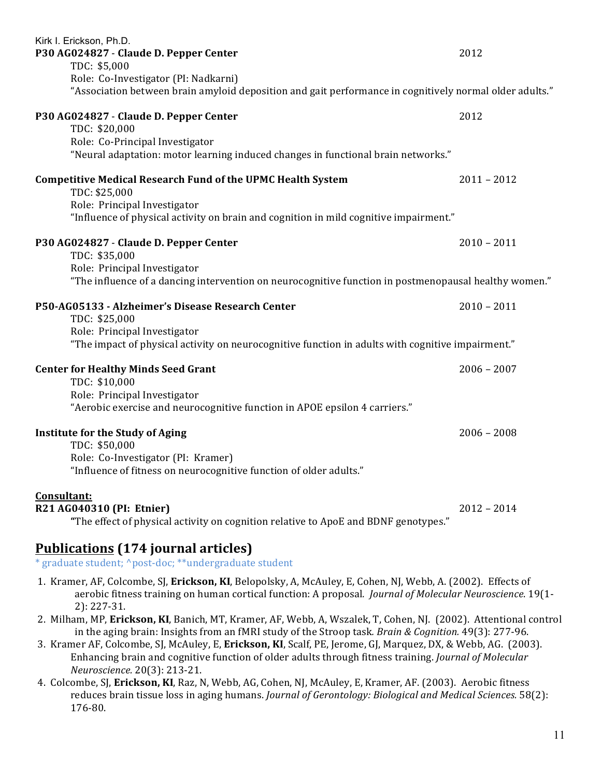| Kirk I. Erickson, Ph.D.<br>P30 AG024827 - Claude D. Pepper Center<br>TDC: \$5,000<br>Role: Co-Investigator (PI: Nadkarni)<br>"Association between brain amyloid deposition and gait performance in cognitively normal older adults." | 2012          |
|--------------------------------------------------------------------------------------------------------------------------------------------------------------------------------------------------------------------------------------|---------------|
| P30 AG024827 - Claude D. Pepper Center<br>TDC: \$20,000<br>Role: Co-Principal Investigator<br>"Neural adaptation: motor learning induced changes in functional brain networks."                                                      | 2012          |
| <b>Competitive Medical Research Fund of the UPMC Health System</b><br>TDC: \$25,000<br>Role: Principal Investigator<br>"Influence of physical activity on brain and cognition in mild cognitive impairment."                         | $2011 - 2012$ |
| P30 AG024827 - Claude D. Pepper Center<br>TDC: \$35,000<br>Role: Principal Investigator<br>"The influence of a dancing intervention on neurocognitive function in postmenopausal healthy women."                                     | $2010 - 2011$ |
| P50-AG05133 - Alzheimer's Disease Research Center<br>TDC: \$25,000<br>Role: Principal Investigator<br>"The impact of physical activity on neurocognitive function in adults with cognitive impairment."                              | $2010 - 2011$ |
| <b>Center for Healthy Minds Seed Grant</b><br>TDC: \$10,000<br>Role: Principal Investigator<br>"Aerobic exercise and neurocognitive function in APOE epsilon 4 carriers."                                                            | $2006 - 2007$ |
| <b>Institute for the Study of Aging</b><br>TDC: \$50,000<br>Role: Co-Investigator (PI: Kramer)<br>"Influence of fitness on neurocognitive function of older adults."                                                                 | $2006 - 2008$ |
| Consultant:<br>R21 AG040310 (PI: Etnier)<br>$^{\mu}$ The effect of pleased estimity on complian velotive to AnoF and DDNE gave two sells                                                                                             | $2012 - 2014$ |

**"**The effect of physical activity on cognition relative to ApoE and BDNF genotypes."

# **Publications (174 journal articles)**

\* graduate student; ^post-doc; \*\*undergraduate student

- 1. Kramer, AF, Colcombe, SJ, Erickson, KI, Belopolsky, A, McAuley, E, Cohen, NJ, Webb, A. (2002). Effects of aerobic fitness training on human cortical function: A proposal. *Journal of Molecular Neuroscience*. 19(1-2): 227-31.
- 2. Milham, MP, Erickson, KI, Banich, MT, Kramer, AF, Webb, A, Wszalek, T, Cohen, NJ. (2002). Attentional control in the aging brain: Insights from an fMRI study of the Stroop task. *Brain & Cognition*. 49(3): 277-96.
- 3. Kramer AF, Colcombe, SJ, McAuley, E, **Erickson, KI**, Scalf, PE, Jerome, GJ, Marquez, DX, & Webb, AG. (2003). Enhancing brain and cognitive function of older adults through fitness training. *Journal of Molecular Neuroscience.* 20(3): 213-21.
- 4. Colcombe, SJ, Erickson, KI, Raz, N, Webb, AG, Cohen, NJ, McAuley, E, Kramer, AF. (2003). Aerobic fitness reduces brain tissue loss in aging humans. *Journal of Gerontology: Biological and Medical Sciences.* 58(2): 176-80.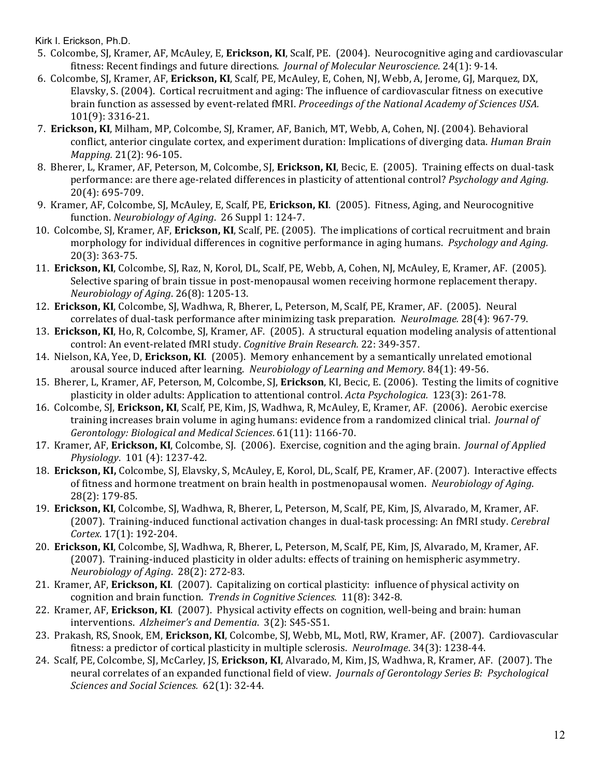- 5. Colcombe, SJ, Kramer, AF, McAuley, E, **Erickson, KI**, Scalf, PE. (2004). Neurocognitive aging and cardiovascular fitness: Recent findings and future directions. *Journal of Molecular Neuroscience.* 24(1): 9-14.
- 6. Colcombe, SJ, Kramer, AF, Erickson, KI, Scalf, PE, McAuley, E, Cohen, NJ, Webb, A, Jerome, GJ, Marquez, DX, Elavsky, S. (2004). Cortical recruitment and aging: The influence of cardiovascular fitness on executive brain function as assessed by event-related fMRI. *Proceedings of the National Academy of Sciences USA.* 101(9): 3316-21.
- 7. Erickson, KI, Milham, MP, Colcombe, SJ, Kramer, AF, Banich, MT, Webb, A, Cohen, NJ. (2004). Behavioral conflict, anterior cingulate cortex, and experiment duration: Implications of diverging data. *Human Brain Mapping.* 21(2): 96-105.
- 8. Bherer, L, Kramer, AF, Peterson, M, Colcombe, SJ, **Erickson, KI**, Becic, E. (2005). Training effects on dual-task performance: are there age-related differences in plasticity of attentional control? *Psychology and Aging.* 20(4): 695-709.
- 9. Kramer, AF, Colcombe, SJ, McAuley, E, Scalf, PE, Erickson, KI. (2005). Fitness, Aging, and Neurocognitive function. *Neurobiology of Aging.* 26 Suppl 1: 124-7.
- 10. Colcombe, SJ, Kramer, AF, **Erickson, KI**, Scalf, PE. (2005). The implications of cortical recruitment and brain morphology for individual differences in cognitive performance in aging humans. *Psychology and Aging.* 20(3): 363-75.
- 11. Erickson, KI, Colcombe, SJ, Raz, N, Korol, DL, Scalf, PE, Webb, A, Cohen, NJ, McAuley, E, Kramer, AF. (2005). Selective sparing of brain tissue in post-menopausal women receiving hormone replacement therapy. *Neurobiology of Aging*. 26(8): 1205-13.
- 12. Erickson, KI, Colcombe, SJ, Wadhwa, R, Bherer, L, Peterson, M, Scalf, PE, Kramer, AF. (2005). Neural correlates of dual-task performance after minimizing task preparation. *NeuroImage.* 28(4): 967-79.
- 13. **Erickson, KI**, Ho, R, Colcombe, SI, Kramer, AF. (2005). A structural equation modeling analysis of attentional control: An event-related fMRI study. *Cognitive Brain Research.* 22: 349-357.
- 14. Nielson, KA, Yee, D, **Erickson, KI**. (2005). Memory enhancement by a semantically unrelated emotional arousal source induced after learning. *Neurobiology of Learning and Memory*. 84(1): 49-56.
- 15. Bherer, L, Kramer, AF, Peterson, M, Colcombe, SJ, **Erickson**, KI, Becic, E. (2006). Testing the limits of cognitive plasticity in older adults: Application to attentional control. *Acta Psychologica.* 123(3): 261-78.
- 16. Colcombe, SI, Erickson, KI, Scalf, PE, Kim, JS, Wadhwa, R, McAuley, E, Kramer, AF. (2006). Aerobic exercise training increases brain volume in aging humans: evidence from a randomized clinical trial. *Journal of Gerontology: Biological and Medical Sciences*. 61(11): 1166-70.
- 17. Kramer, AF, **Erickson, KI**, Colcombe, SJ. (2006). Exercise, cognition and the aging brain. *Journal of Applied Physiology.* 101 (4): 1237-42.
- 18. Erickson, KI, Colcombe, SJ, Elavsky, S, McAuley, E, Korol, DL, Scalf, PE, Kramer, AF. (2007). Interactive effects of fitness and hormone treatment on brain health in postmenopausal women. *Neurobiology of Aging*. 28(2): 179-85.
- 19. Erickson, KI, Colcombe, SJ, Wadhwa, R, Bherer, L, Peterson, M, Scalf, PE, Kim, JS, Alvarado, M, Kramer, AF. (2007). Training-induced functional activation changes in dual-task processing: An fMRI study. *Cerebral Cortex*. 17(1): 192-204.
- 20. Erickson, KI, Colcombe, SJ, Wadhwa, R, Bherer, L, Peterson, M, Scalf, PE, Kim, JS, Alvarado, M, Kramer, AF. (2007). Training-induced plasticity in older adults: effects of training on hemispheric asymmetry. *Neurobiology of Aging*. 28(2): 272-83.
- 21. Kramer, AF, **Erickson, KI.** (2007). Capitalizing on cortical plasticity: influence of physical activity on cognition and brain function. Trends in Cognitive Sciences. 11(8): 342-8.
- 22. Kramer, AF, **Erickson, KI**. (2007). Physical activity effects on cognition, well-being and brain: human interventions. Alzheimer's and Dementia. 3(2): S45-S51.
- 23. Prakash, RS, Snook, EM, Erickson, KI, Colcombe, SJ, Webb, ML, Motl, RW, Kramer, AF. (2007). Cardiovascular fitness: a predictor of cortical plasticity in multiple sclerosis. *NeuroImage*. 34(3): 1238-44.
- 24. Scalf, PE, Colcombe, SJ, McCarley, JS, Erickson, KJ, Alvarado, M, Kim, JS, Wadhwa, R, Kramer, AF. (2007). The neural correlates of an expanded functional field of view. *Journals of Gerontology Series B: Psychological* Sciences and Social Sciences. 62(1): 32-44.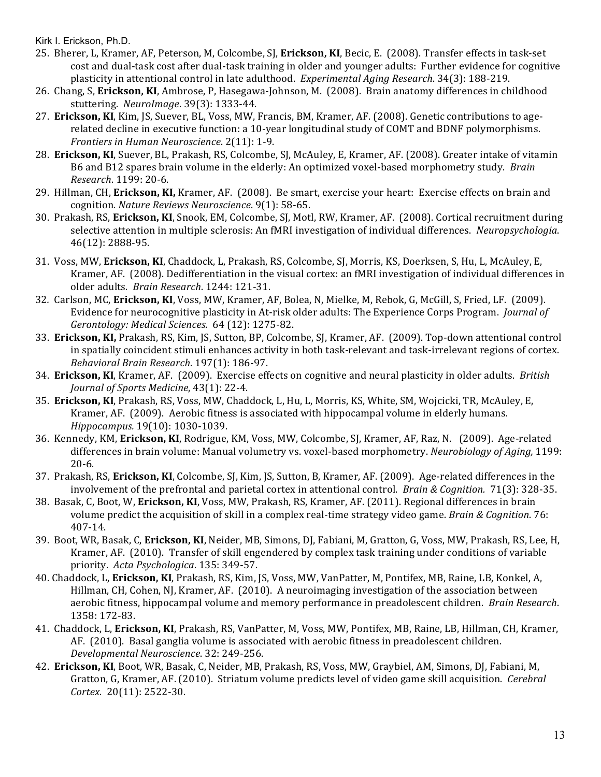- 25. Bherer, L, Kramer, AF, Peterson, M, Colcombe, SJ, Erickson, KI, Becic, E. (2008). Transfer effects in task-set cost and dual-task cost after dual-task training in older and younger adults: Further evidence for cognitive plasticity in attentional control in late adulthood. *Experimental Aging Research*. 34(3): 188-219.
- 26. Chang, S, Erickson, KI, Ambrose, P, Hasegawa-Johnson, M. (2008). Brain anatomy differences in childhood stuttering. *NeuroImage*. 39(3): 1333-44.
- 27. Erickson, KI, Kim, JS, Suever, BL, Voss, MW, Francis, BM, Kramer, AF. (2008). Genetic contributions to agerelated decline in executive function: a 10-year longitudinal study of COMT and BDNF polymorphisms. *Frontiers in Human Neuroscience.* 2(11): 1-9.
- 28. Erickson, KI, Suever, BL, Prakash, RS, Colcombe, SJ, McAuley, E, Kramer, AF. (2008). Greater intake of vitamin B6 and B12 spares brain volume in the elderly: An optimized voxel-based morphometry study. *Brain Research*. 1199: 20-6.
- 29. Hillman, CH, Erickson, KI, Kramer, AF. (2008). Be smart, exercise your heart: Exercise effects on brain and cognition. *Nature Reviews Neuroscience*. 9(1): 58-65.
- 30. Prakash, RS, Erickson, KI, Snook, EM, Colcombe, SJ, Motl, RW, Kramer, AF. (2008). Cortical recruitment during selective attention in multiple sclerosis: An fMRI investigation of individual differences. *Neuropsychologia*. 46(12): 2888-95.
- 31. Voss, MW, Erickson, KI. Chaddock, L. Prakash, RS, Colcombe, SJ, Morris, KS, Doerksen, S. Hu, L. McAuley, E. Kramer, AF. (2008). Dedifferentiation in the visual cortex: an fMRI investigation of individual differences in older adults. *Brain Research*. 1244: 121-31.
- 32. Carlson, MC, Erickson, KI, Voss, MW, Kramer, AF, Bolea, N, Mielke, M, Rebok, G, McGill, S, Fried, LF. (2009). Evidence for neurocognitive plasticity in At-risk older adults: The Experience Corps Program. *Journal of* Gerontology: Medical Sciences. 64 (12): 1275-82.
- 33. Erickson, KI, Prakash, RS, Kim, JS, Sutton, BP, Colcombe, SJ, Kramer, AF. (2009). Top-down attentional control in spatially coincident stimuli enhances activity in both task-relevant and task-irrelevant regions of cortex. *Behavioral Brain Research*. 197(1): 186-97.
- 34. Erickson, KI, Kramer, AF. (2009). Exercise effects on cognitive and neural plasticity in older adults. *British Journal of Sports Medicine*, 43(1): 22-4.
- 35. Erickson, KI, Prakash, RS, Voss, MW, Chaddock, L, Hu, L, Morris, KS, White, SM, Wojcicki, TR, McAuley, E, Kramer, AF. (2009). Aerobic fitness is associated with hippocampal volume in elderly humans. *Hippocampus.* 19(10): 1030-1039.
- 36. Kennedy, KM, Erickson, KI, Rodrigue, KM, Voss, MW, Colcombe, SJ, Kramer, AF, Raz, N. (2009). Age-related differences in brain volume: Manual volumetry vs. voxel-based morphometry. *Neurobiology of Aging*, 1199: 20-6*.*
- 37. Prakash, RS, Erickson, KI, Colcombe, SJ, Kim, JS, Sutton, B, Kramer, AF. (2009). Age-related differences in the involvement of the prefrontal and parietal cortex in attentional control. *Brain & Cognition.* 71(3): 328-35.
- 38. Basak, C, Boot, W, Erickson, KI, Voss, MW, Prakash, RS, Kramer, AF. (2011). Regional differences in brain volume predict the acquisition of skill in a complex real-time strategy video game. *Brain & Cognition*. 76: 407-14.
- 39. Boot, WR, Basak, C, Erickson, KI, Neider, MB, Simons, DJ, Fabiani, M, Gratton, G, Voss, MW, Prakash, RS, Lee, H, Kramer, AF. (2010). Transfer of skill engendered by complex task training under conditions of variable priority. *Acta Psychologica*. 135: 349-57.
- 40. Chaddock, L, Erickson, KI, Prakash, RS, Kim, JS, Voss, MW, VanPatter, M, Pontifex, MB, Raine, LB, Konkel, A, Hillman, CH, Cohen, NJ, Kramer, AF. (2010). A neuroimaging investigation of the association between aerobic fitness, hippocampal volume and memory performance in preadolescent children. *Brain Research*. 1358: 172-83.
- 41. Chaddock, L, Erickson, KI, Prakash, RS, VanPatter, M, Voss, MW, Pontifex, MB, Raine, LB, Hillman, CH, Kramer, AF. (2010). Basal ganglia volume is associated with aerobic fitness in preadolescent children. *Developmental Neuroscience*. 32: 249-256.
- 42. Erickson, KI, Boot, WR, Basak, C, Neider, MB, Prakash, RS, Voss, MW, Graybiel, AM, Simons, DJ, Fabiani, M, Gratton, G, Kramer, AF. (2010). Striatum volume predicts level of video game skill acquisition. *Cerebral Cortex*. 20(11): 2522-30.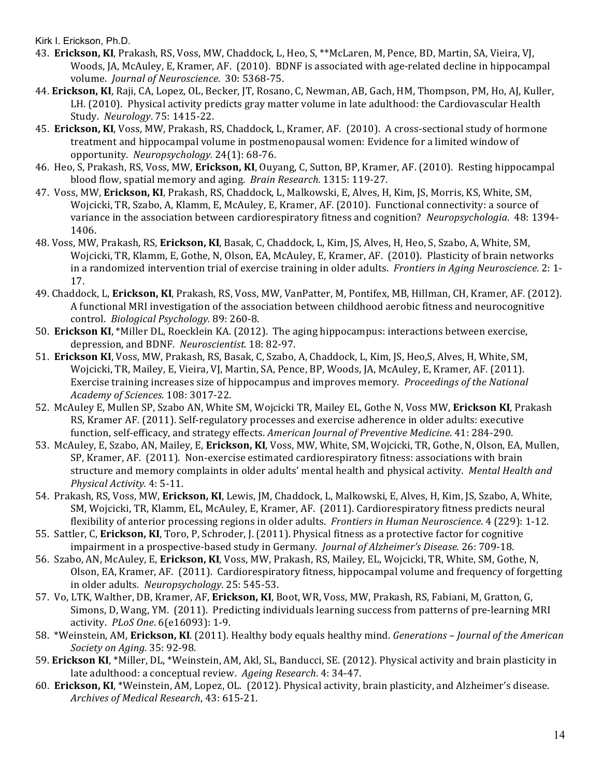- 43. Erickson, KI, Prakash, RS, Voss, MW, Chaddock, L, Heo, S, \*\*McLaren, M, Pence, BD, Martin, SA, Vieira, VJ, Woods, JA, McAuley, E, Kramer, AF. (2010). BDNF is associated with age-related decline in hippocampal volume. *Journal of Neuroscience*. 30: 5368-75.
- 44. **Erickson, KI**, Raji, CA, Lopez, OL, Becker, JT, Rosano, C, Newman, AB, Gach, HM, Thompson, PM, Ho, AJ, Kuller, LH. (2010). Physical activity predicts gray matter volume in late adulthood: the Cardiovascular Health Study. *Neurology*. 75: 1415-22.
- 45. **Erickson, KI**, Voss, MW, Prakash, RS, Chaddock, L, Kramer, AF. (2010). A cross-sectional study of hormone treatment and hippocampal volume in postmenopausal women: Evidence for a limited window of opportunity. Neuropsychology. 24(1): 68-76.
- 46. Heo, S, Prakash, RS, Voss, MW, **Erickson, KI**, Ouyang, C, Sutton, BP, Kramer, AF. (2010). Resting hippocampal blood flow, spatial memory and aging. *Brain Research*. 1315: 119-27.
- 47. Voss, MW, Erickson, KI, Prakash, RS, Chaddock, L, Malkowski, E, Alves, H, Kim, JS, Morris, KS, White, SM, Wojcicki, TR, Szabo, A, Klamm, E, McAuley, E, Kramer, AF. (2010). Functional connectivity: a source of variance in the association between cardiorespiratory fitness and cognition? *Neuropsychologia*. 48: 1394-1406.
- 48. Voss, MW, Prakash, RS, Erickson, KI, Basak, C, Chaddock, L, Kim, JS, Alves, H, Heo, S, Szabo, A, White, SM, Wojcicki, TR, Klamm, E, Gothe, N, Olson, EA, McAuley, E, Kramer, AF. (2010). Plasticity of brain networks in a randomized intervention trial of exercise training in older adults. *Frontiers in Aging Neuroscience*. 2: 1-17.
- 49. Chaddock, L, Erickson, KI, Prakash, RS, Voss, MW, VanPatter, M, Pontifex, MB, Hillman, CH, Kramer, AF. (2012). A functional MRI investigation of the association between childhood aerobic fitness and neurocognitive control. *Biological Psychology.* 89: 260-8.
- 50. **Erickson KI**, \*Miller DL, Roecklein KA. (2012). The aging hippocampus: interactions between exercise, depression, and BDNF. Neuroscientist. 18: 82-97.
- 51. Erickson KI, Voss, MW, Prakash, RS, Basak, C, Szabo, A, Chaddock, L, Kim, JS, Heo,S, Alves, H, White, SM, Wojcicki, TR, Mailey, E, Vieira, VJ, Martin, SA, Pence, BP, Woods, JA, McAuley, E, Kramer, AF. (2011). Exercise training increases size of hippocampus and improves memory. *Proceedings of the National Academy of Sciences*. 108: 3017-22.
- 52. McAuley E, Mullen SP, Szabo AN, White SM, Wojcicki TR, Mailey EL, Gothe N, Voss MW, Erickson KI, Prakash RS, Kramer AF. (2011). Self-regulatory processes and exercise adherence in older adults: executive function, self-efficacy, and strategy effects. *American Journal of Preventive Medicine*. 41: 284-290.
- 53. McAuley, E, Szabo, AN, Mailey, E, Erickson, KI, Voss, MW, White, SM, Wojcicki, TR, Gothe, N, Olson, EA, Mullen, SP, Kramer, AF. (2011). Non-exercise estimated cardiorespiratory fitness: associations with brain structure and memory complaints in older adults' mental health and physical activity. *Mental Health and Physical Activity.* 4: 5-11.
- 54. Prakash, RS, Voss, MW, Erickson, KI, Lewis, JM, Chaddock, L, Malkowski, E, Alves, H, Kim, JS, Szabo, A, White, SM, Wojcicki, TR, Klamm, EL, McAuley, E, Kramer, AF. (2011). Cardiorespiratory fitness predicts neural flexibility of anterior processing regions in older adults. *Frontiers in Human Neuroscience*. 4 (229): 1-12.
- 55. Sattler, C, Erickson, KI, Toro, P, Schroder, J. (2011). Physical fitness as a protective factor for cognitive impairment in a prospective-based study in Germany. *Journal of Alzheimer's Disease.* 26: 709-18.
- 56. Szabo, AN, McAuley, E, *Erickson, KI, Voss, MW, Prakash, RS, Mailey, EL, Wojcicki, TR, White, SM, Gothe, N,* Olson, EA, Kramer, AF. (2011). Cardiorespiratory fitness, hippocampal volume and frequency of forgetting in older adults. Neuropsychology. 25: 545-53.
- 57. Vo, LTK, Walther, DB, Kramer, AF, Erickson, KI, Boot, WR, Voss, MW, Prakash, RS, Fabiani, M, Gratton, G, Simons, D, Wang, YM. (2011). Predicting individuals learning success from patterns of pre-learning MRI activity. *PLoS One*. 6(e16093): 1-9.
- 58. \*Weinstein, AM, **Erickson, KI**. (2011). Healthy body equals healthy mind. *Generations Journal of the American Society on Aging*. 35: 92-98.
- 59. Erickson KI, \*Miller, DL, \*Weinstein, AM, Akl, SL, Banducci, SE. (2012). Physical activity and brain plasticity in late adulthood: a conceptual review. Ageing Research. 4: 34-47.
- 60. **Erickson, KI**, \*Weinstein, AM, Lopez, OL. (2012). Physical activity, brain plasticity, and Alzheimer's disease. *Archives of Medical Research*, 43: 615-21.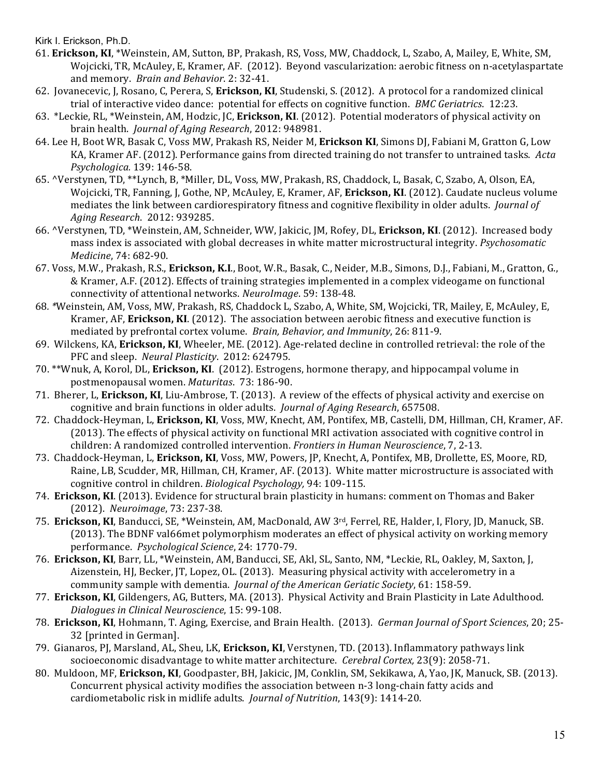- 61. Erickson, KI, \*Weinstein, AM, Sutton, BP, Prakash, RS, Voss, MW, Chaddock, L, Szabo, A, Mailey, E, White, SM, Wojcicki, TR, McAuley, E, Kramer, AF. (2012). Beyond vascularization: aerobic fitness on n-acetylaspartate and memory. *Brain and Behavior*. 2: 32-41.
- 62. Jovanecevic, J, Rosano, C, Perera, S, **Erickson, KI**, Studenski, S. (2012). A protocol for a randomized clinical trial of interactive video dance: potential for effects on cognitive function. *BMC Geriatrics*. 12:23.
- 63. \*Leckie, RL, \*Weinstein, AM, Hodzic, JC, **Erickson, KI**. (2012). Potential moderators of physical activity on brain health. *Journal of Aging Research*, 2012: 948981.
- 64. Lee H, Boot WR, Basak C, Voss MW, Prakash RS, Neider M, Erickson KI, Simons DJ, Fabiani M, Gratton G, Low KA, Kramer AF. (2012). Performance gains from directed training do not transfer to untrained tasks. Acta *Psychologica.* 139: 146-58.
- 65. ^Verstynen, TD, \*\*Lynch, B, \*Miller, DL, Voss, MW, Prakash, RS, Chaddock, L, Basak, C, Szabo, A, Olson, EA, Wojcicki, TR, Fanning, J, Gothe, NP, McAuley, E, Kramer, AF, Erickson, KI. (2012). Caudate nucleus volume mediates the link between cardiorespiratory fitness and cognitive flexibility in older adults. *Journal of Aging Research*. 2012: 939285.
- 66. ^Verstynen, TD, \*Weinstein, AM, Schneider, WW, Jakicic, JM, Rofey, DL, Erickson, KI. (2012). Increased body mass index is associated with global decreases in white matter microstructural integrity. *Psychosomatic Medicine*, 74: 682-90.
- 67. Voss, M.W., Prakash, R.S., Erickson, K.I., Boot, W.R., Basak, C., Neider, M.B., Simons, D.J., Fabiani, M., Gratton, G., & Kramer, A.F. (2012). Effects of training strategies implemented in a complex videogame on functional connectivity of attentional networks. *NeuroImage*. 59: 138-48.
- 68. \*Weinstein, AM, Voss, MW, Prakash, RS, Chaddock L, Szabo, A, White, SM, Wojcicki, TR, Mailey, E, McAuley, E, Kramer, AF, Erickson, KI. (2012). The association between aerobic fitness and executive function is mediated by prefrontal cortex volume. *Brain, Behavior, and Immunity*, 26: 811-9.
- 69. Wilckens, KA, Erickson, KI, Wheeler, ME. (2012). Age-related decline in controlled retrieval: the role of the PFC and sleep. Neural Plasticity. 2012: 624795.
- 70. \*\*Wnuk, A, Korol, DL, **Erickson, KI**. (2012). Estrogens, hormone therapy, and hippocampal volume in postmenopausal women. *Maturitas*. 73: 186-90.
- 71. Bherer, L, **Erickson, KI**, Liu-Ambrose, T. (2013). A review of the effects of physical activity and exercise on cognitive and brain functions in older adults. *Journal of Aging Research*, 657508.
- 72. Chaddock-Heyman, L, Erickson, KI, Voss, MW, Knecht, AM, Pontifex, MB, Castelli, DM, Hillman, CH, Kramer, AF. (2013). The effects of physical activity on functional MRI activation associated with cognitive control in children: A randomized controlled intervention. *Frontiers in Human Neuroscience*, 7, 2-13.
- 73. Chaddock-Heyman, L, Erickson, KI, Voss, MW, Powers, JP, Knecht, A, Pontifex, MB, Drollette, ES, Moore, RD, Raine, LB, Scudder, MR, Hillman, CH, Kramer, AF. (2013). White matter microstructure is associated with cognitive control in children. *Biological Psychology*, 94: 109-115.
- 74. Erickson, KI. (2013). Evidence for structural brain plasticity in humans: comment on Thomas and Baker (2012). *Neuroimage*, 73: 237-38.
- 75. Erickson, KI, Banducci, SE, \*Weinstein, AM, MacDonald, AW 3rd, Ferrel, RE, Halder, I, Flory, JD, Manuck, SB. (2013). The BDNF val66met polymorphism moderates an effect of physical activity on working memory performance. *Psychological Science*, 24: 1770-79.
- 76. Erickson, KI, Barr, LL, \*Weinstein, AM, Banducci, SE, Akl, SL, Santo, NM, \*Leckie, RL, Oakley, M, Saxton, J, Aizenstein, HJ, Becker, JT, Lopez, OL. (2013). Measuring physical activity with accelerometry in a community sample with dementia. *Journal of the American Geriatic Society*, 61: 158-59.
- 77. Erickson, KI, Gildengers, AG, Butters, MA. (2013). Physical Activity and Brain Plasticity in Late Adulthood. *Dialogues in Clinical Neuroscience*, 15: 99-108.
- 78. Erickson, KI, Hohmann, T. Aging, Exercise, and Brain Health. (2013). *German Journal of Sport Sciences*, 20; 25-32 [printed in German].
- 79. Gianaros, PJ, Marsland, AL, Sheu, LK, Erickson, KI, Verstynen, TD. (2013). Inflammatory pathways link socioeconomic disadvantage to white matter architecture. *Cerebral Cortex*, 23(9): 2058-71.
- 80. Muldoon, MF, Erickson, KI, Goodpaster, BH, Jakicic, JM, Conklin, SM, Sekikawa, A, Yao, JK, Manuck, SB. (2013). Concurrent physical activity modifies the association between n-3 long-chain fatty acids and cardiometabolic risk in midlife adults. *Journal of Nutrition*, 143(9): 1414-20.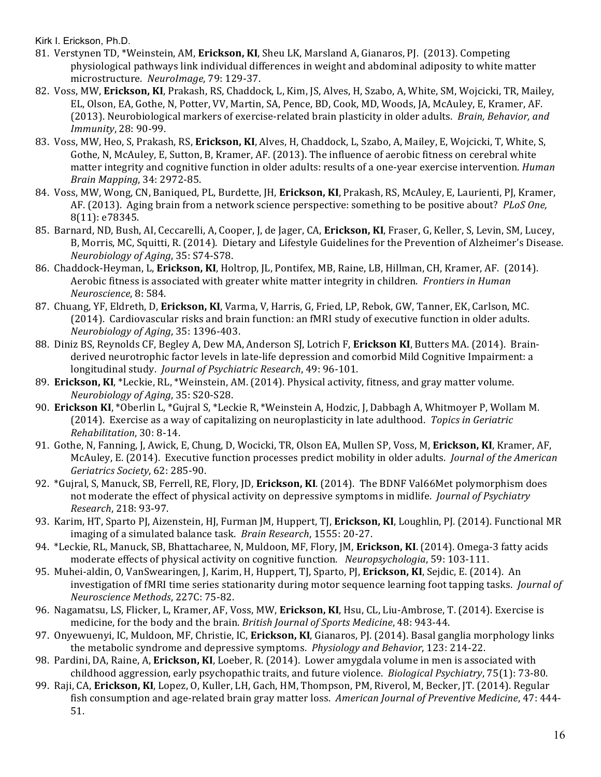- 81. Verstynen TD, \*Weinstein, AM, Erickson, KI, Sheu LK, Marsland A, Gianaros, PJ. (2013). Competing physiological pathways link individual differences in weight and abdominal adiposity to white matter microstructure. *NeuroImage*, 79: 129-37.
- 82. Voss, MW, Erickson, KI, Prakash, RS, Chaddock, L, Kim, JS, Alves, H, Szabo, A, White, SM, Wojcicki, TR, Mailey, EL, Olson, EA, Gothe, N, Potter, VV, Martin, SA, Pence, BD, Cook, MD, Woods, IA, McAuley, E, Kramer, AF. (2013). Neurobiological markers of exercise-related brain plasticity in older adults. *Brain, Behavior, and Immunity*, 28: 90-99.
- 83. Voss, MW, Heo, S, Prakash, RS, Erickson, KI, Alves, H, Chaddock, L, Szabo, A, Mailey, E, Wojcicki, T, White, S, Gothe, N, McAuley, E, Sutton, B, Kramer, AF. (2013). The influence of aerobic fitness on cerebral white matter integrity and cognitive function in older adults: results of a one-year exercise intervention. *Human Brain Mapping*, 34: 2972-85.
- 84. Voss, MW, Wong, CN, Baniqued, PL, Burdette, JH, Erickson, KI, Prakash, RS, McAuley, E, Laurienti, PJ, Kramer, AF. (2013). Aging brain from a network science perspective: something to be positive about? *PLoS One*, 8(11): e78345.
- 85. Barnard, ND, Bush, AI, Ceccarelli, A, Cooper, J, de Jager, CA, Erickson, KI, Fraser, G, Keller, S, Levin, SM, Lucey, B, Morris, MC, Squitti, R. (2014). Dietary and Lifestyle Guidelines for the Prevention of Alzheimer's Disease. *Neurobiology of Aging*, 35: S74-S78.
- 86. Chaddock-Heyman, L, Erickson, KI, Holtrop, JL, Pontifex, MB, Raine, LB, Hillman, CH, Kramer, AF. (2014). Aerobic fitness is associated with greater white matter integrity in children. *Frontiers in Human Neuroscience*, 8: 584.
- 87. Chuang, YF, Eldreth, D, Erickson, KI, Varma, V, Harris, G, Fried, LP, Rebok, GW, Tanner, EK, Carlson, MC. (2014). Cardiovascular risks and brain function: an fMRI study of executive function in older adults. *Neurobiology of Aging*, 35: 1396-403.
- 88. Diniz BS, Reynolds CF, Begley A, Dew MA, Anderson SJ, Lotrich F, Erickson KI, Butters MA. (2014). Brainderived neurotrophic factor levels in late-life depression and comorbid Mild Cognitive Impairment: a longitudinal study. *Journal of Psychiatric Research*, 49: 96-101.
- 89. Erickson, KI, \*Leckie, RL, \*Weinstein, AM. (2014). Physical activity, fitness, and gray matter volume. *Neurobiology of Aging*, 35: S20-S28.
- 90. **Erickson KI**, \*Oberlin L, \*Guiral S, \*Leckie R, \*Weinstein A, Hodzic, J, Dabbagh A, Whitmoyer P, Wollam M. (2014). Exercise as a way of capitalizing on neuroplasticity in late adulthood. *Topics in Geriatric Rehabilitation*, 30: 8-14.
- 91. Gothe, N, Fanning, J, Awick, E, Chung, D, Wocicki, TR, Olson EA, Mullen SP, Voss, M, Erickson, KI, Kramer, AF, McAuley, E. (2014). Executive function processes predict mobility in older adults. *Journal of the American Geriatrics Society*, 62: 285-90.
- 92. \*Gujral, S, Manuck, SB, Ferrell, RE, Flory, JD, **Erickson, KI**. (2014). The BDNF Val66Met polymorphism does not moderate the effect of physical activity on depressive symptoms in midlife. *Journal of Psychiatry Research*, 218: 93-97.
- 93. Karim, HT, Sparto PJ, Aizenstein, HJ, Furman JM, Huppert, TJ, Erickson, KI, Loughlin, PJ. (2014). Functional MR imaging of a simulated balance task. *Brain Research*, 1555: 20-27.
- 94. \*Leckie, RL, Manuck, SB, Bhattacharee, N. Muldoon, MF, Flory, IM, **Erickson, KI.** (2014). Omega-3 fatty acids moderate effects of physical activity on cognitive function. *Neuropsychologia*, 59: 103-111.
- 95. Muhei-aldin, O, VanSwearingen, J, Karim, H, Huppert, TJ, Sparto, PJ, Erickson, KI, Sejdic, E. (2014). An investigation of fMRI time series stationarity during motor sequence learning foot tapping tasks. *Journal of Neuroscience Methods*, 227C: 75-82.
- 96. Nagamatsu, LS, Flicker, L, Kramer, AF, Voss, MW, Erickson, KI, Hsu, CL, Liu-Ambrose, T. (2014). Exercise is medicine, for the body and the brain. *British Journal of Sports Medicine*, 48: 943-44.
- 97. Onyewuenyi, IC, Muldoon, MF, Christie, IC, **Erickson, KI**, Gianaros, PJ. (2014). Basal ganglia morphology links the metabolic syndrome and depressive symptoms. *Physiology and Behavior*, 123: 214-22.
- 98. Pardini, DA, Raine, A, **Erickson, KI**, Loeber, R. (2014). Lower amygdala volume in men is associated with childhood aggression, early psychopathic traits, and future violence. *Biological Psychiatry*, 75(1): 73-80.
- 99. Raji, CA, Erickson, KI, Lopez, O, Kuller, LH, Gach, HM, Thompson, PM, Riverol, M, Becker, JT. (2014). Regular fish consumption and age-related brain gray matter loss. American Journal of Preventive Medicine, 47: 444-51.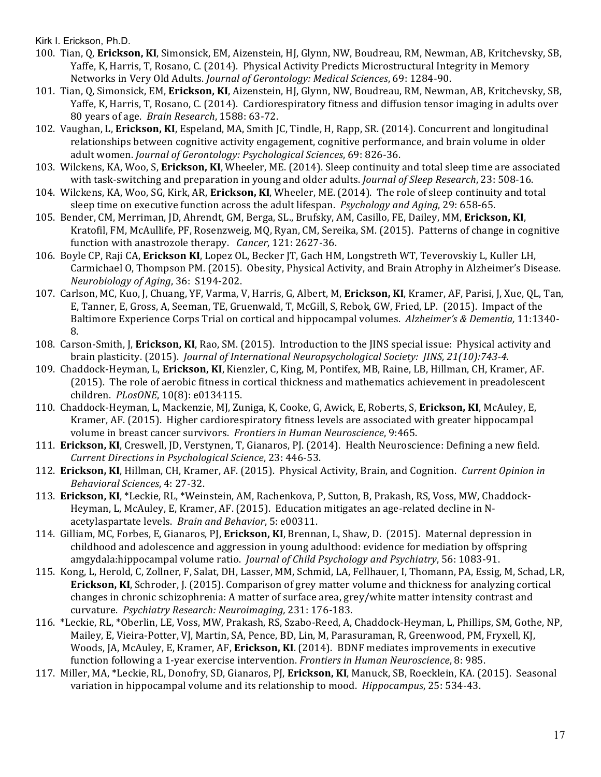- 100. Tian, Q, Erickson, KI, Simonsick, EM, Aizenstein, HJ, Glynn, NW, Boudreau, RM, Newman, AB, Kritchevsky, SB, Yaffe, K, Harris, T, Rosano, C. (2014). Physical Activity Predicts Microstructural Integrity in Memory Networks in Very Old Adults. *Journal of Gerontology: Medical Sciences*, 69: 1284-90.
- 101. Tian, Q, Simonsick, EM, Erickson, KI, Aizenstein, HJ, Glynn, NW, Boudreau, RM, Newman, AB, Kritchevsky, SB, Yaffe, K, Harris, T, Rosano, C. (2014). Cardiorespiratory fitness and diffusion tensor imaging in adults over 80 years of age. *Brain Research*, 1588: 63-72.
- 102. Vaughan, L, Erickson, KI, Espeland, MA, Smith JC, Tindle, H, Rapp, SR. (2014). Concurrent and longitudinal relationships between cognitive activity engagement, cognitive performance, and brain volume in older adult women. *Journal of Gerontology: Psychological Sciences*, 69: 826-36.
- 103. Wilckens, KA, Woo, S, Erickson, KI, Wheeler, ME. (2014). Sleep continuity and total sleep time are associated with task-switching and preparation in young and older adults. *Journal of Sleep Research*, 23: 508-16.
- 104. Wilckens, KA, Woo, SG, Kirk, AR, **Erickson, KI**, Wheeler, ME. (2014). The role of sleep continuity and total sleep time on executive function across the adult lifespan. *Psychology and Aging*, 29: 658-65.
- 105. Bender, CM, Merriman, JD, Ahrendt, GM, Berga, SL., Brufsky, AM, Casillo, FE, Dailey, MM, Erickson, KI, Kratofil, FM, McAullife, PF, Rosenzweig, MQ, Ryan, CM, Sereika, SM. (2015). Patterns of change in cognitive function with anastrozole therapy. *Cancer*, 121: 2627-36.
- 106. Boyle CP, Raji CA, Erickson KI, Lopez OL, Becker JT, Gach HM, Longstreth WT, Teverovskiy L, Kuller LH, Carmichael O, Thompson PM. (2015). Obesity, Physical Activity, and Brain Atrophy in Alzheimer's Disease. *Neurobiology of Aging*, 36: S194-202.
- 107. Carlson, MC, Kuo, J, Chuang, YF, Varma, V, Harris, G, Albert, M, Erickson, KI, Kramer, AF, Parisi, J, Xue, QL, Tan, E, Tanner, E, Gross, A, Seeman, TE, Gruenwald, T, McGill, S, Rebok, GW, Fried, LP. (2015). Impact of the Baltimore Experience Corps Trial on cortical and hippocampal volumes. Alzheimer's & Dementia, 11:1340-8.
- 108. Carson-Smith, J. Erickson, KI, Rao, SM. (2015). Introduction to the JINS special issue: Physical activity and brain plasticity. (2015). *Journal of International Neuropsychological Society: IINS, 21(10):743-4.*
- 109. Chaddock-Heyman, L, Erickson, KI, Kienzler, C, King, M, Pontifex, MB, Raine, LB, Hillman, CH, Kramer, AF. (2015). The role of aerobic fitness in cortical thickness and mathematics achievement in preadolescent children. *PLosONE*, 10(8): e0134115.
- 110. Chaddock-Heyman, L, Mackenzie, MJ, Zuniga, K, Cooke, G, Awick, E, Roberts, S, Erickson, KI, McAuley, E, Kramer, AF. (2015). Higher cardiorespiratory fitness levels are associated with greater hippocampal volume in breast cancer survivors. Frontiers in Human Neuroscience, 9:465.
- 111. **Erickson, KI**, Creswell, JD, Verstynen, T, Gianaros, PJ. (2014). Health Neuroscience: Defining a new field. *Current Directions in Psychological Science*, 23: 446-53.
- 112. Erickson, KI, Hillman, CH, Kramer, AF. (2015). Physical Activity, Brain, and Cognition. Current Opinion in *Behavioral Sciences*, 4: 27-32.
- 113. Erickson, KI, \*Leckie, RL, \*Weinstein, AM, Rachenkova, P, Sutton, B, Prakash, RS, Voss, MW, Chaddock-Heyman, L, McAuley, E, Kramer, AF. (2015). Education mitigates an age-related decline in Nacetylaspartate levels. *Brain and Behavior*, 5: e00311.
- 114. Gilliam, MC, Forbes, E, Gianaros, PJ, Erickson, KI, Brennan, L, Shaw, D. (2015). Maternal depression in childhood and adolescence and aggression in young adulthood: evidence for mediation by offspring amgydala:hippocampal volume ratio. *Journal of Child Psychology and Psychiatry*, 56: 1083-91.
- 115. Kong, L, Herold, C, Zollner, F, Salat, DH, Lasser, MM, Schmid, LA, Fellhauer, I, Thomann, PA, Essig, M, Schad, LR, **Erickson, KI**, Schroder, J. (2015). Comparison of grey matter volume and thickness for analyzing cortical changes in chronic schizophrenia: A matter of surface area, grey/white matter intensity contrast and curvature. *Psychiatry Research: Neuroimaging,* 231: 176-183.
- 116. \*Leckie, RL, \*Oberlin, LE, Voss, MW, Prakash, RS, Szabo-Reed, A, Chaddock-Heyman, L, Phillips, SM, Gothe, NP, Mailey, E, Vieira-Potter, VJ, Martin, SA, Pence, BD, Lin, M, Parasuraman, R, Greenwood, PM, Fryxell, KJ, Woods, JA, McAuley, E, Kramer, AF, Erickson, KI. (2014). BDNF mediates improvements in executive function following a 1-year exercise intervention. *Frontiers in Human Neuroscience*, 8: 985.
- 117. Miller, MA, \*Leckie, RL, Donofry, SD, Gianaros, PJ, Erickson, KI, Manuck, SB, Roecklein, KA. (2015). Seasonal variation in hippocampal volume and its relationship to mood. *Hippocampus*, 25: 534-43.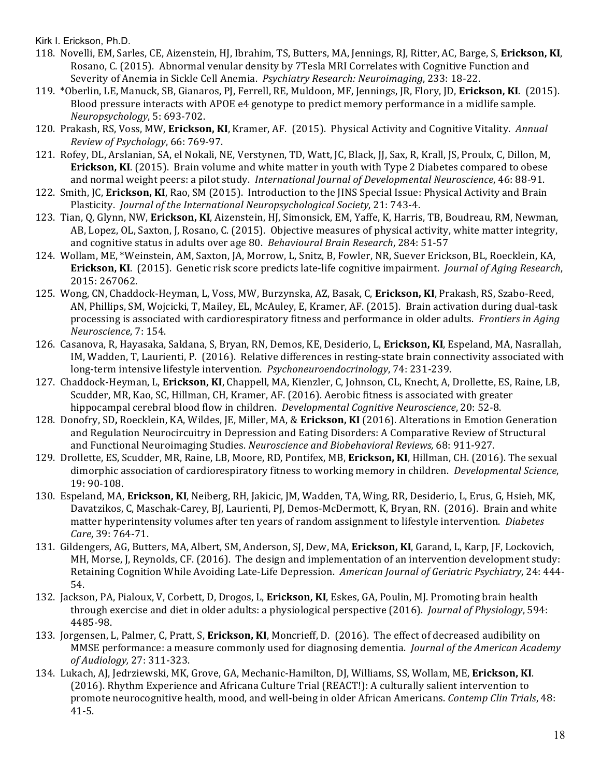- 118. Novelli, EM, Sarles, CE, Aizenstein, HJ, Ibrahim, TS, Butters, MA, Jennings, RJ, Ritter, AC, Barge, S, **Erickson, KI**, Rosano, C. (2015). Abnormal venular density by 7Tesla MRI Correlates with Cognitive Function and Severity of Anemia in Sickle Cell Anemia. *Psychiatry Research: Neuroimaging*, 233: 18-22.
- 119. \*Oberlin, LE, Manuck, SB, Gianaros, PJ, Ferrell, RE, Muldoon, MF, Jennings, JR, Flory, JD, Erickson, KI. (2015). Blood pressure interacts with APOE e4 genotype to predict memory performance in a midlife sample. *Neuropsychology*, 5: 693-702.
- 120. Prakash, RS, Voss, MW, Erickson, KI, Kramer, AF. (2015). Physical Activity and Cognitive Vitality. *Annual Review of Psychology*, 66: 769-97.
- 121. Rofey, DL, Arslanian, SA, el Nokali, NE, Verstynen, TD, Watt, JC, Black, JJ, Sax, R, Krall, JS, Proulx, C, Dillon, M, **Erickson, KI.** (2015). Brain volume and white matter in youth with Type 2 Diabetes compared to obese and normal weight peers: a pilot study. *International Journal of Developmental Neuroscience*, 46: 88-91.
- 122. Smith, JC, Erickson, KI, Rao, SM (2015). Introduction to the JINS Special Issue: Physical Activity and Brain Plasticity. *Journal of the International Neuropsychological Society*, 21: 743-4.
- 123. Tian, Q, Glynn, NW, Erickson, KI, Aizenstein, HJ, Simonsick, EM, Yaffe, K, Harris, TB, Boudreau, RM, Newman, AB, Lopez, OL, Saxton, J, Rosano, C. (2015). Objective measures of physical activity, white matter integrity, and cognitive status in adults over age 80. Behavioural Brain Research, 284: 51-57
- 124. Wollam, ME, \*Weinstein, AM, Saxton, JA, Morrow, L, Snitz, B, Fowler, NR, Suever Erickson, BL, Roecklein, KA, **Erickson, KI.** (2015). Genetic risk score predicts late-life cognitive impairment. *Journal of Aging Research*, 2015: 267062.
- 125. Wong, CN, Chaddock-Heyman, L, Voss, MW, Burzynska, AZ, Basak, C, Erickson, KI, Prakash, RS, Szabo-Reed, AN, Phillips, SM, Wojcicki, T, Mailey, EL, McAuley, E, Kramer, AF. (2015). Brain activation during dual-task processing is associated with cardiorespiratory fitness and performance in older adults. Frontiers in Aging *Neuroscience*, 7: 154.
- 126. Casanova, R, Hayasaka, Saldana, S, Bryan, RN, Demos, KE, Desiderio, L, Erickson, KI, Espeland, MA, Nasrallah, IM, Wadden, T, Laurienti, P. (2016). Relative differences in resting-state brain connectivity associated with long-term intensive lifestyle intervention. *Psychoneuroendocrinology*, 74: 231-239.
- 127. Chaddock-Heyman, L, Erickson, KI, Chappell, MA, Kienzler, C, Johnson, CL, Knecht, A, Drollette, ES, Raine, LB, Scudder, MR, Kao, SC, Hillman, CH, Kramer, AF. (2016). Aerobic fitness is associated with greater hippocampal cerebral blood flow in children. *Developmental Cognitive Neuroscience*, 20: 52-8.
- 128. Donofry, SD, Roecklein, KA, Wildes, JE, Miller, MA, & Erickson, KI (2016). Alterations in Emotion Generation and Regulation Neurocircuitry in Depression and Eating Disorders: A Comparative Review of Structural and Functional Neuroimaging Studies. *Neuroscience and Biobehavioral Reviews*, 68: 911-927.
- 129. Drollette, ES, Scudder, MR, Raine, LB, Moore, RD, Pontifex, MB, Erickson, KI, Hillman, CH. (2016). The sexual dimorphic association of cardiorespiratory fitness to working memory in children. *Developmental Science*, 19: 90-108.
- 130. Espeland, MA, Erickson, KI, Neiberg, RH, Jakicic, JM, Wadden, TA, Wing, RR, Desiderio, L, Erus, G, Hsieh, MK, Davatzikos, C, Maschak-Carey, BJ, Laurienti, PJ, Demos-McDermott, K, Bryan, RN. (2016). Brain and white matter hyperintensity volumes after ten years of random assignment to lifestyle intervention. *Diabetes Care*, 39: 764-71.
- 131. Gildengers, AG, Butters, MA, Albert, SM, Anderson, SJ, Dew, MA, Erickson, KI, Garand, L, Karp, JF, Lockovich, MH, Morse, J, Reynolds, CF. (2016). The design and implementation of an intervention development study: Retaining Cognition While Avoiding Late-Life Depression. American Journal of Geriatric Psychiatry, 24: 444-54.
- 132. Jackson, PA, Pialoux, V, Corbett, D, Drogos, L, Erickson, KI, Eskes, GA, Poulin, MJ. Promoting brain health through exercise and diet in older adults: a physiological perspective (2016). *Journal of Physiology*, 594: 4485-98.
- 133. Jorgensen, L, Palmer, C, Pratt, S, **Erickson, KI**, Moncrieff, D. (2016). The effect of decreased audibility on MMSE performance: a measure commonly used for diagnosing dementia. *Journal of the American Academy of Audiology,* 27: 311-323.
- 134. Lukach, AJ, Jedrziewski, MK, Grove, GA, Mechanic-Hamilton, DJ, Williams, SS, Wollam, ME, Erickson, KI. (2016). Rhythm Experience and Africana Culture Trial (REACT!): A culturally salient intervention to promote neurocognitive health, mood, and well-being in older African Americans. *Contemp Clin Trials*, 48: 41-5.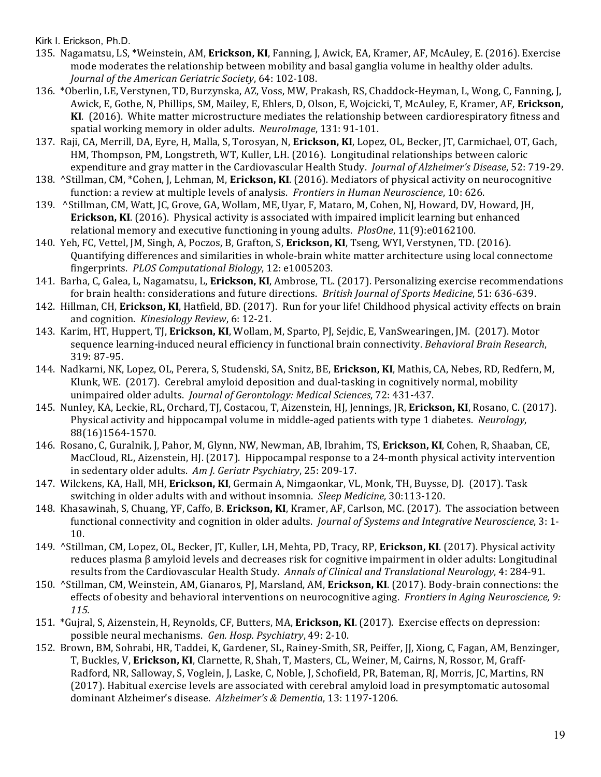- 135. Nagamatsu, LS, \*Weinstein, AM, Erickson, KI, Fanning, J, Awick, EA, Kramer, AF, McAuley, E. (2016). Exercise mode moderates the relationship between mobility and basal ganglia volume in healthy older adults. *Journal of the American Geriatric Society,* 64: 102-108.
- 136. \*Oberlin, LE, Verstynen, TD, Burzynska, AZ, Voss, MW, Prakash, RS, Chaddock-Heyman, L, Wong, C, Fanning, J, Awick, E. Gothe, N. Phillips, SM, Mailey, E. Ehlers, D. Olson, E. Wojcicki, T. McAuley, E. Kramer, AF, Erickson, **KI**. (2016). White matter microstructure mediates the relationship between cardiorespiratory fitness and spatial working memory in older adults. *NeuroImage*, 131: 91-101.
- 137. Raji, CA, Merrill, DA, Eyre, H, Malla, S, Torosyan, N, Erickson, KI, Lopez, OL, Becker, JT, Carmichael, OT, Gach, HM, Thompson, PM, Longstreth, WT, Kuller, LH. (2016). Longitudinal relationships between caloric expenditure and gray matter in the Cardiovascular Health Study. *Journal of Alzheimer's Disease*, 52: 719-29.
- 138. ^Stillman, CM, \*Cohen, J, Lehman, M, **Erickson, KI**. (2016). Mediators of physical activity on neurocognitive function: a review at multiple levels of analysis. Frontiers in Human Neuroscience, 10: 626.
- 139. ^Stillman, CM, Watt, JC, Grove, GA, Wollam, ME, Uyar, F, Mataro, M, Cohen, NJ, Howard, DV, Howard, JH, **Erickson, KI.** (2016). Physical activity is associated with impaired implicit learning but enhanced relational memory and executive functioning in young adults. *PlosOne*, 11(9):e0162100.
- 140. Yeh, FC, Vettel, JM, Singh, A, Poczos, B, Grafton, S, **Erickson, KI**, Tseng, WYI, Verstynen, TD. (2016). Ouantifying differences and similarities in whole-brain white matter architecture using local connectome fingerprints. *PLOS Computational Biology*, 12: e1005203.
- 141. Barha, C, Galea, L, Nagamatsu, L, Erickson, KI, Ambrose, TL. (2017). Personalizing exercise recommendations for brain health: considerations and future directions. *British Journal of Sports Medicine*, 51: 636-639.
- 142. Hillman, CH, Erickson, KI, Hatfield, BD. (2017). Run for your life! Childhood physical activity effects on brain and cognition. *Kinesiology Review*, 6: 12-21.
- 143. Karim, HT, Huppert, TJ, Erickson, KI, Wollam, M, Sparto, PJ, Sejdic, E, VanSwearingen, JM. (2017). Motor sequence learning-induced neural efficiency in functional brain connectivity. *Behavioral Brain Research*, 319: 87-95.
- 144. Nadkarni, NK, Lopez, OL, Perera, S, Studenski, SA, Snitz, BE, Erickson, KI, Mathis, CA, Nebes, RD, Redfern, M, Klunk, WE.  $(2017)$ . Cerebral amyloid deposition and dual-tasking in cognitively normal, mobility unimpaired older adults. *Journal of Gerontology: Medical Sciences*, 72: 431-437.
- 145. Nunley, KA, Leckie, RL, Orchard, TJ, Costacou, T, Aizenstein, HJ, Jennings, JR, **Erickson, KJ**, Rosano, C. (2017). Physical activity and hippocampal volume in middle-aged patients with type 1 diabetes. *Neurology*, 88(16)1564-1570.
- 146. Rosano, C, Guralnik, J, Pahor, M, Glynn, NW, Newman, AB, Ibrahim, TS, Erickson, KI, Cohen, R, Shaaban, CE, MacCloud, RL, Aizenstein, HJ. (2017). Hippocampal response to a 24-month physical activity intervention in sedentary older adults. Am *J. Geriatr Psychiatry*, 25: 209-17.
- 147. Wilckens, KA, Hall, MH, **Erickson, KI**, Germain A, Nimgaonkar, VL, Monk, TH, Buysse, DJ. (2017). Task switching in older adults with and without insomnia. *Sleep Medicine*, 30:113-120.
- 148. Khasawinah, S, Chuang, YF, Caffo, B. **Erickson, KI**, Kramer, AF, Carlson, MC. (2017). The association between functional connectivity and cognition in older adults. *Journal of Systems and Integrative Neuroscience*, 3: 1-10.
- 149. ^Stillman, CM, Lopez, OL, Becker, JT, Kuller, LH, Mehta, PD, Tracy, RP, Erickson, KI. (2017). Physical activity reduces plasma  $\beta$  amyloid levels and decreases risk for cognitive impairment in older adults: Longitudinal results from the Cardiovascular Health Study. Annals of Clinical and Translational Neurology, 4: 284-91.
- 150. ^Stillman, CM, Weinstein, AM, Gianaros, PJ, Marsland, AM, Erickson, KI. (2017). Body-brain connections: the effects of obesity and behavioral interventions on neurocognitive aging. *Frontiers in Aging Neuroscience*, 9: *115.*
- 151. \*Gujral, S, Aizenstein, H, Reynolds, CF, Butters, MA, **Erickson, KI**. (2017). Exercise effects on depression: possible neural mechanisms. *Gen. Hosp. Psychiatry*, 49: 2-10.
- 152. Brown, BM, Sohrabi, HR, Taddei, K, Gardener, SL, Rainey-Smith, SR, Peiffer, JJ, Xiong, C, Fagan, AM, Benzinger, T, Buckles, V, Erickson, KI, Clarnette, R, Shah, T, Masters, CL, Weiner, M, Cairns, N, Rossor, M, Graff-Radford, NR, Salloway, S, Voglein, J, Laske, C, Noble, J, Schofield, PR, Bateman, RJ, Morris, JC, Martins, RN (2017). Habitual exercise levels are associated with cerebral amyloid load in presymptomatic autosomal dominant Alzheimer's disease. Alzheimer's & Dementia, 13: 1197-1206.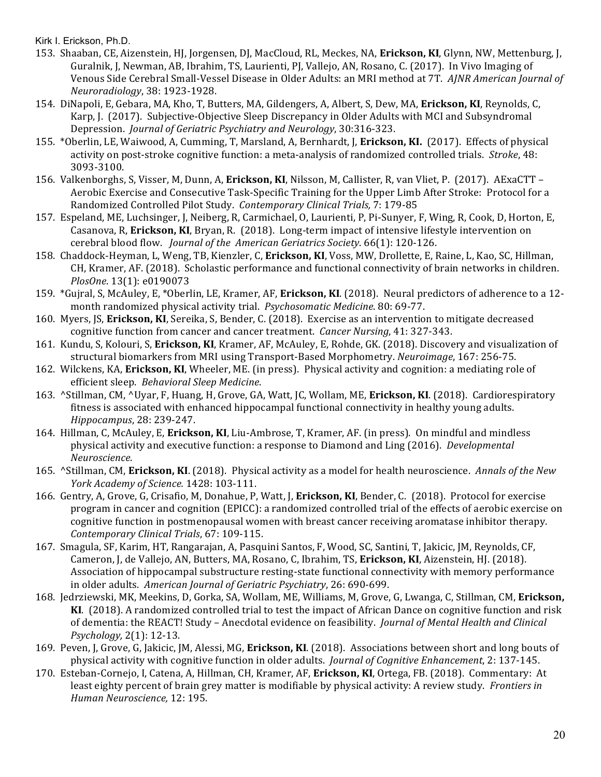- 153. Shaaban, CE, Aizenstein, HJ, Jorgensen, DJ, MacCloud, RL, Meckes, NA, **Erickson, KI**, Glynn, NW, Mettenburg, J, Guralnik, J, Newman, AB, Ibrahim, TS, Laurienti, PJ, Vallejo, AN, Rosano, C. (2017). In Vivo Imaging of Venous Side Cerebral Small-Vessel Disease in Older Adults: an MRI method at 7T. *AJNR American Journal of Neuroradiology*, 38: 1923-1928.
- 154. DiNapoli, E, Gebara, MA, Kho, T, Butters, MA, Gildengers, A, Albert, S, Dew, MA, Erickson, KI, Reynolds, C, Karp, J. (2017). Subjective-Objective Sleep Discrepancy in Older Adults with MCI and Subsyndromal Depression. *Journal of Geriatric Psychiatry and Neurology*, 30:316-323.
- 155. \*Oberlin, LE, Waiwood, A, Cumming, T, Marsland, A, Bernhardt, J, **Erickson, KI.** (2017). Effects of physical activity on post-stroke cognitive function: a meta-analysis of randomized controlled trials. *Stroke*, 48: 3093-3100.
- 156. Valkenborghs, S, Visser, M, Dunn, A, **Erickson, KI**, Nilsson, M, Callister, R, van Vliet, P. (2017). AExaCTT Aerobic Exercise and Consecutive Task-Specific Training for the Upper Limb After Stroke: Protocol for a Randomized Controlled Pilot Study. Contemporary Clinical Trials, 7: 179-85
- 157. Espeland, ME, Luchsinger, J, Neiberg, R, Carmichael, O, Laurienti, P, Pi-Sunyer, F, Wing, R, Cook, D, Horton, E, Casanova, R, **Erickson, KI**, Bryan, R. (2018). Long-term impact of intensive lifestyle intervention on cerebral blood flow. *Journal of the American Geriatrics Society*. 66(1): 120-126.
- 158. Chaddock-Heyman, L, Weng, TB, Kienzler, C, Erickson, KI, Voss, MW, Drollette, E, Raine, L, Kao, SC, Hillman, CH, Kramer, AF. (2018). Scholastic performance and functional connectivity of brain networks in children. *PlosOne*. 13(1): e0190073
- 159. \*Gujral, S, McAuley, E, \*Oberlin, LE, Kramer, AF, **Erickson, KI**. (2018). Neural predictors of adherence to a 12month randomized physical activity trial. *Psychosomatic Medicine*. 80: 69-77.
- 160. Myers, JS, Erickson, KI, Sereika, S, Bender, C. (2018). Exercise as an intervention to mitigate decreased cognitive function from cancer and cancer treatment. *Cancer Nursing*, 41: 327-343.
- 161. Kundu, S, Kolouri, S, Erickson, KI, Kramer, AF, McAuley, E, Rohde, GK. (2018). Discovery and visualization of structural biomarkers from MRI using Transport-Based Morphometry. *Neuroimage*, 167: 256-75.
- 162. Wilckens, KA, **Erickson, KI**, Wheeler, ME. (in press). Physical activity and cognition: a mediating role of efficient sleep. *Behavioral Sleep Medicine*.
- 163. ^Stillman, CM, ^Uyar, F, Huang, H, Grove, GA, Watt, JC, Wollam, ME, **Erickson, KI**. (2018). Cardiorespiratory fitness is associated with enhanced hippocampal functional connectivity in healthy young adults. *Hippocampus*, 28: 239-247.
- 164. Hillman, C, McAuley, E, **Erickson, KI**, Liu-Ambrose, T, Kramer, AF. (in press). On mindful and mindless physical activity and executive function: a response to Diamond and Ling (2016). *Developmental Neuroscience*.
- 165. ^Stillman, CM, **Erickson, KI**. (2018). Physical activity as a model for health neuroscience. *Annals of the New York Academy of Science.* 1428: 103-111.
- 166. Gentry, A, Grove, G, Crisafio, M, Donahue, P, Watt, J, **Erickson, KI**, Bender, C. (2018). Protocol for exercise program in cancer and cognition (EPICC): a randomized controlled trial of the effects of aerobic exercise on cognitive function in postmenopausal women with breast cancer receiving aromatase inhibitor therapy. *Contemporary Clinical Trials*, 67: 109-115.
- 167. Smagula, SF, Karim, HT, Rangarajan, A, Pasquini Santos, F, Wood, SC, Santini, T, Jakicic, JM, Reynolds, CF, Cameron, J, de Vallejo, AN, Butters, MA, Rosano, C, Ibrahim, TS, Erickson, KI, Aizenstein, HJ. (2018). Association of hippocampal substructure resting-state functional connectivity with memory performance in older adults. American Journal of Geriatric Psychiatry, 26: 690-699.
- 168. Jedrziewski, MK, Meekins, D, Gorka, SA, Wollam, ME, Williams, M, Grove, G, Lwanga, C, Stillman, CM, Erickson, **KI**. (2018). A randomized controlled trial to test the impact of African Dance on cognitive function and risk of dementia: the REACT! Study - Anecdotal evidence on feasibility. *Journal of Mental Health and Clinical Psychology,* 2(1): 12-13.
- 169. Peven, J, Grove, G, Jakicic, JM, Alessi, MG, Erickson, KI. (2018). Associations between short and long bouts of physical activity with cognitive function in older adults. *Journal of Cognitive Enhancement*, 2: 137-145.
- 170. Esteban-Cornejo, I, Catena, A, Hillman, CH, Kramer, AF, **Erickson, KI**, Ortega, FB. (2018). Commentary: At least eighty percent of brain grey matter is modifiable by physical activity: A review study. *Frontiers in Human Neuroscience,* 12: 195.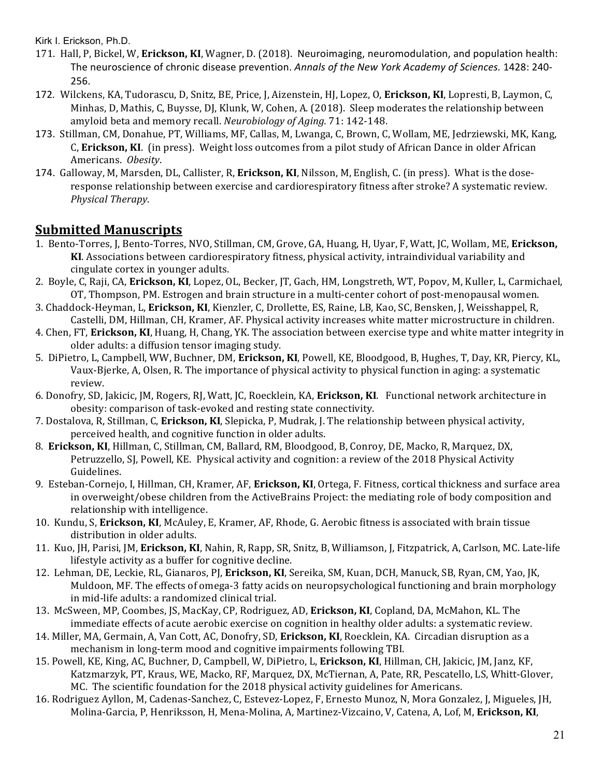- 171. Hall, P, Bickel, W, Erickson, KI, Wagner, D. (2018). Neuroimaging, neuromodulation, and population health: The neuroscience of chronic disease prevention. Annals of the New York Academy of Sciences. 1428: 240-256.
- 172. Wilckens, KA, Tudorascu, D, Snitz, BE, Price, J, Aizenstein, HJ, Lopez, O, Erickson, KI, Lopresti, B, Laymon, C, Minhas, D, Mathis, C, Buysse, DJ, Klunk, W, Cohen, A. (2018). Sleep moderates the relationship between amyloid beta and memory recall. *Neurobiology of Aging.* 71: 142-148.
- 173. Stillman, CM, Donahue, PT, Williams, MF, Callas, M, Lwanga, C, Brown, C, Wollam, ME, Jedrziewski, MK, Kang, C. **Erickson, KI.** (in press). Weight loss outcomes from a pilot study of African Dance in older African Americans. *Obesity*.
- 174. Galloway, M, Marsden, DL, Callister, R, **Erickson, KI**, Nilsson, M, English, C. (in press). What is the doseresponse relationship between exercise and cardiorespiratory fitness after stroke? A systematic review. *Physical Therapy*.

### **Submitted Manuscripts**

- 1. Bento-Torres, J, Bento-Torres, NVO, Stillman, CM, Grove, GA, Huang, H, Uyar, F, Watt, JC, Wollam, ME, Erickson, **KI**. Associations between cardiorespiratory fitness, physical activity, intraindividual variability and cingulate cortex in younger adults.
- 2. Boyle, C, Raji, CA, Erickson, KI, Lopez, OL, Becker, JT, Gach, HM, Longstreth, WT, Popov, M, Kuller, L, Carmichael, OT, Thompson, PM. Estrogen and brain structure in a multi-center cohort of post-menopausal women.
- 3. Chaddock-Heyman, L, Erickson, KI, Kienzler, C, Drollette, ES, Raine, LB, Kao, SC, Bensken, J, Weisshappel, R, Castelli, DM, Hillman, CH, Kramer, AF. Physical activity increases white matter microstructure in children.
- 4. Chen, FT, Erickson, KI, Huang, H, Chang, YK. The association between exercise type and white matter integrity in older adults: a diffusion tensor imaging study.
- 5. DiPietro, L, Campbell, WW, Buchner, DM, Erickson, KI, Powell, KE, Bloodgood, B, Hughes, T, Day, KR, Piercy, KL, Vaux-Bjerke, A, Olsen, R. The importance of physical activity to physical function in aging: a systematic review.
- 6. Donofry, SD, Jakicic, JM, Rogers, RJ, Watt, JC, Roecklein, KA, *Erickson*, KI. Functional network architecture in obesity: comparison of task-evoked and resting state connectivity.
- 7. Dostalova, R, Stillman, C, Erickson, KI, Slepicka, P, Mudrak, J. The relationship between physical activity, perceived health, and cognitive function in older adults.
- 8. Erickson, KI, Hillman, C, Stillman, CM, Ballard, RM, Bloodgood, B, Conroy, DE, Macko, R, Marquez, DX, Petruzzello, SJ, Powell, KE. Physical activity and cognition: a review of the 2018 Physical Activity Guidelines.
- 9. Esteban-Cornejo, I, Hillman, CH, Kramer, AF, **Erickson, KI**, Ortega, F. Fitness, cortical thickness and surface area in overweight/obese children from the ActiveBrains Project: the mediating role of body composition and relationship with intelligence.
- 10. Kundu, S, Erickson, KI, McAuley, E, Kramer, AF, Rhode, G. Aerobic fitness is associated with brain tissue distribution in older adults.
- 11. Kuo, JH, Parisi, JM, Erickson, KI, Nahin, R, Rapp, SR, Snitz, B, Williamson, J, Fitzpatrick, A, Carlson, MC. Late-life lifestyle activity as a buffer for cognitive decline.
- 12. Lehman, DE, Leckie, RL, Gianaros, PJ, Erickson, KI, Sereika, SM, Kuan, DCH, Manuck, SB, Ryan, CM, Yao, JK, Muldoon, MF. The effects of omega-3 fatty acids on neuropsychological functioning and brain morphology in mid-life adults: a randomized clinical trial.
- 13. McSween, MP, Coombes, JS, MacKay, CP, Rodriguez, AD, **Erickson, KI**, Copland, DA, McMahon, KL. The immediate effects of acute aerobic exercise on cognition in healthy older adults: a systematic review.
- 14. Miller, MA, Germain, A, Van Cott, AC, Donofry, SD, Erickson, KI, Roecklein, KA. Circadian disruption as a mechanism in long-term mood and cognitive impairments following TBI.
- 15. Powell, KE, King, AC, Buchner, D, Campbell, W, DiPietro, L, Erickson, KI, Hillman, CH, Jakicic, JM, Janz, KF, Katzmarzyk, PT, Kraus, WE, Macko, RF, Marquez, DX, McTiernan, A, Pate, RR, Pescatello, LS, Whitt-Glover, MC. The scientific foundation for the 2018 physical activity guidelines for Americans.
- 16. Rodriguez Ayllon, M, Cadenas-Sanchez, C, Estevez-Lopez, F, Ernesto Munoz, N, Mora Gonzalez, J, Migueles, JH, Molina-Garcia, P, Henriksson, H, Mena-Molina, A, Martinez-Vizcaino, V, Catena, A, Lof, M, Erickson, KI,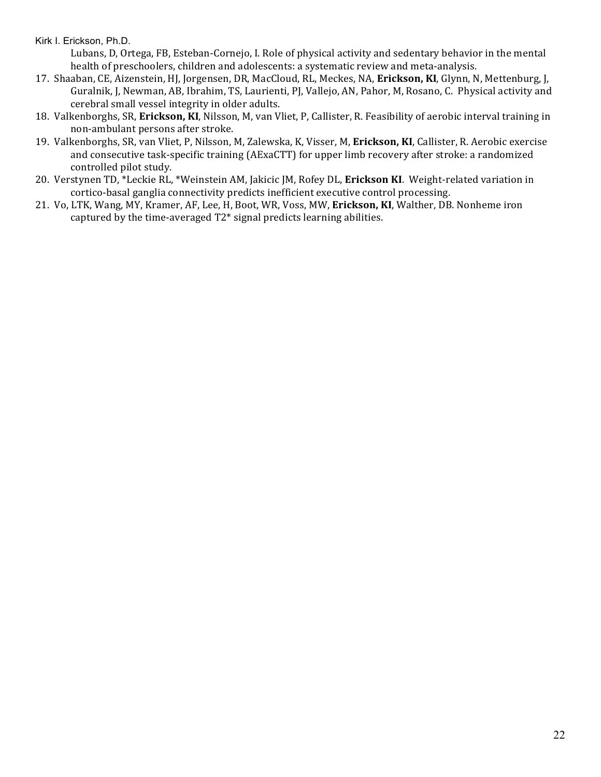Lubans, D, Ortega, FB, Esteban-Cornejo, I. Role of physical activity and sedentary behavior in the mental health of preschoolers, children and adolescents: a systematic review and meta-analysis.

- 17. Shaaban, CE, Aizenstein, HJ, Jorgensen, DR, MacCloud, RL, Meckes, NA, Erickson, KI, Glynn, N, Mettenburg, J, Guralnik, J, Newman, AB, Ibrahim, TS, Laurienti, PJ, Vallejo, AN, Pahor, M, Rosano, C. Physical activity and cerebral small vessel integrity in older adults.
- 18. Valkenborghs, SR, **Erickson, KI**, Nilsson, M, van Vliet, P, Callister, R. Feasibility of aerobic interval training in non-ambulant persons after stroke.
- 19. Valkenborghs, SR, van Vliet, P, Nilsson, M, Zalewska, K, Visser, M, Erickson, KI, Callister, R. Aerobic exercise and consecutive task-specific training (AExaCTT) for upper limb recovery after stroke: a randomized controlled pilot study.
- 20. Verstynen TD, \*Leckie RL, \*Weinstein AM, Jakicic JM, Rofey DL, **Erickson KI**. Weight-related variation in cortico-basal ganglia connectivity predicts inefficient executive control processing.
- 21. Vo, LTK, Wang, MY, Kramer, AF, Lee, H, Boot, WR, Voss, MW, Erickson, KI, Walther, DB. Nonheme iron captured by the time-averaged  $T2*$  signal predicts learning abilities.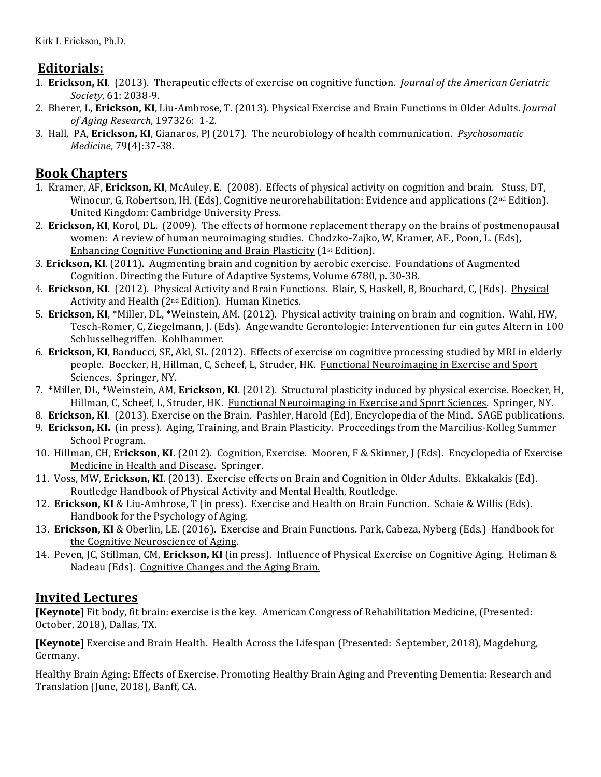# **Editorials:**

- 1. **Erickson, KI**. (2013). Therapeutic effects of exercise on cognitive function. *Journal of the American Geriatric Society*, 61: 2038-9.
- 2. Bherer, L, Erickson, KI, Liu-Ambrose, T. (2013). Physical Exercise and Brain Functions in Older Adults. *Journal of Aging Research*, 197326: 1-2.
- 3. Hall, PA, Erickson, KI, Gianaros, PJ (2017). The neurobiology of health communication. *Psychosomatic Medicine*, 79(4):37-38.

# **Book Chapters**

- 1. Kramer, AF, Erickson, KI, McAuley, E. (2008). Effects of physical activity on cognition and brain. Stuss, DT, Winocur, G, Robertson, IH. (Eds), Cognitive neurorehabilitation: Evidence and applications (2<sup>nd</sup> Edition). United Kingdom: Cambridge University Press.
- 2. **Erickson, KI**, Korol, DL. (2009). The effects of hormone replacement therapy on the brains of postmenopausal women: A review of human neuroimaging studies. Chodzko-Zajko, W, Kramer, AF., Poon, L. (Eds), Enhancing Cognitive Functioning and Brain Plasticity ( $1<sup>st</sup>$  Edition).
- 3. **Erickson, KI.** (2011). Augmenting brain and cognition by aerobic exercise. Foundations of Augmented Cognition. Directing the Future of Adaptive Systems, Volume 6780, p. 30-38.
- 4. **Erickson, KI**. (2012). Physical Activity and Brain Functions. Blair, S, Haskell, B, Bouchard, C, (Eds). Physical Activity and Health (2<sup>nd</sup> Edition). Human Kinetics.
- 5. Erickson, KI, \*Miller, DL, \*Weinstein, AM. (2012). Physical activity training on brain and cognition. Wahl, HW, Tesch-Romer, C, Ziegelmann, J. (Eds). Angewandte Gerontologie: Interventionen fur ein gutes Altern in 100 Schlusselbegriffen. Kohlhammer.
- 6. **Erickson, KI**, Banducci, SE, Akl, SL. (2012). Effects of exercise on cognitive processing studied by MRI in elderly people. Boecker, H, Hillman, C, Scheef, L, Struder, HK. Functional Neuroimaging in Exercise and Sport Sciences. Springer, NY.
- 7. \*Miller, DL, \*Weinstein, AM, Erickson, KI. (2012). Structural plasticity induced by physical exercise. Boecker, H, Hillman, C, Scheef, L, Struder, HK. Functional Neuroimaging in Exercise and Sport Sciences. Springer, NY.
- 8. Erickson, KI. (2013). Exercise on the Brain. Pashler, Harold (Ed), **Encyclopedia of the Mind.** SAGE publications.
- 9. **Erickson, KI.** (in press). Aging, Training, and Brain Plasticity. Proceedings from the Marcilius-Kolleg Summer School Program.
- 10. Hillman, CH, Erickson, KI. (2012). Cognition, Exercise. Mooren, F & Skinner, J (Eds). Encyclopedia of Exercise Medicine in Health and Disease. Springer.
- 11. Voss, MW, **Erickson, KI.** (2013). Exercise effects on Brain and Cognition in Older Adults. Ekkakakis (Ed). Routledge Handbook of Physical Activity and Mental Health, Routledge.
- 12. **Erickson, KI** & Liu-Ambrose, T (in press). Exercise and Health on Brain Function. Schaie & Willis (Eds). Handbook for the Psychology of Aging.
- 13. Erickson, KI & Oberlin, LE. (2016). Exercise and Brain Functions. Park, Cabeza, Nyberg (Eds.) Handbook for the Cognitive Neuroscience of Aging.
- 14. Peven, JC, Stillman, CM, **Erickson, KI** (in press). Influence of Physical Exercise on Cognitive Aging. Heliman & Nadeau (Eds). Cognitive Changes and the Aging Brain.

# **Invited Lectures**

**[Keynote]** Fit body, fit brain: exercise is the key. American Congress of Rehabilitation Medicine, (Presented: October, 2018), Dallas, TX.

**[Keynote]** Exercise and Brain Health. Health Across the Lifespan (Presented: September, 2018), Magdeburg, Germany.

Healthy Brain Aging: Effects of Exercise. Promoting Healthy Brain Aging and Preventing Dementia: Research and Translation (June, 2018), Banff, CA.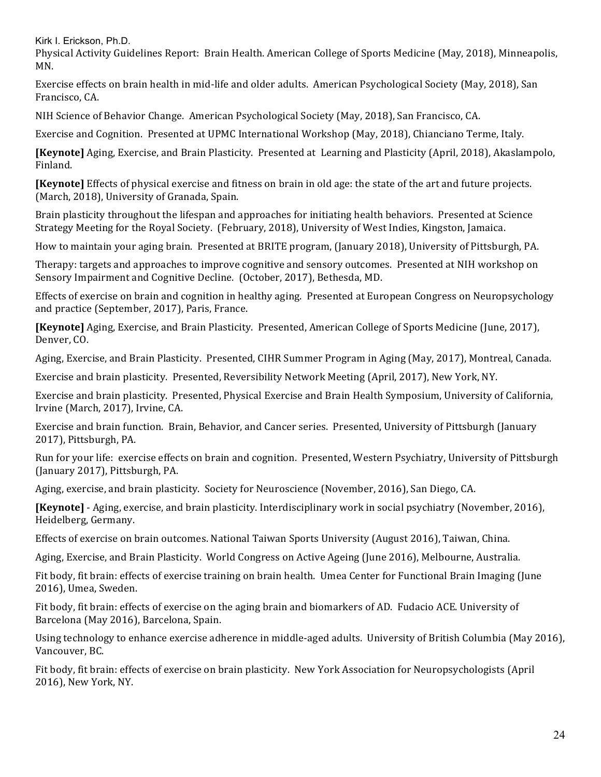Physical Activity Guidelines Report: Brain Health. American College of Sports Medicine (May, 2018), Minneapolis, MN.

Exercise effects on brain health in mid-life and older adults. American Psychological Society (May, 2018), San Francisco, CA.

NIH Science of Behavior Change. American Psychological Society (May, 2018), San Francisco, CA.

Exercise and Cognition. Presented at UPMC International Workshop (May, 2018), Chianciano Terme, Italy.

**[Keynote]** Aging, Exercise, and Brain Plasticity. Presented at Learning and Plasticity (April, 2018), Akaslampolo, Finland. 

**[Keynote]** Effects of physical exercise and fitness on brain in old age: the state of the art and future projects. (March, 2018), University of Granada, Spain.

Brain plasticity throughout the lifespan and approaches for initiating health behaviors. Presented at Science Strategy Meeting for the Royal Society. (February, 2018), University of West Indies, Kingston, Jamaica.

How to maintain your aging brain. Presented at BRITE program, (January 2018), University of Pittsburgh, PA.

Therapy: targets and approaches to improve cognitive and sensory outcomes. Presented at NIH workshop on Sensory Impairment and Cognitive Decline. (October, 2017), Bethesda, MD.

Effects of exercise on brain and cognition in healthy aging. Presented at European Congress on Neuropsychology and practice (September, 2017), Paris, France.

**[Keynote]** Aging, Exercise, and Brain Plasticity. Presented, American College of Sports Medicine (June, 2017). Denver, CO.

Aging, Exercise, and Brain Plasticity. Presented, CIHR Summer Program in Aging (May, 2017), Montreal, Canada.

Exercise and brain plasticity. Presented, Reversibility Network Meeting (April, 2017), New York, NY.

Exercise and brain plasticity. Presented, Physical Exercise and Brain Health Symposium, University of California, Irvine (March, 2017), Irvine, CA.

Exercise and brain function. Brain, Behavior, and Cancer series. Presented, University of Pittsburgh (January 2017), Pittsburgh, PA.

Run for your life: exercise effects on brain and cognition. Presented, Western Psychiatry, University of Pittsburgh (January 2017), Pittsburgh, PA.

Aging, exercise, and brain plasticity. Society for Neuroscience (November, 2016), San Diego, CA.

**[Keynote]** - Aging, exercise, and brain plasticity. Interdisciplinary work in social psychiatry (November, 2016), Heidelberg, Germany.

Effects of exercise on brain outcomes. National Taiwan Sports University (August 2016), Taiwan, China.

Aging, Exercise, and Brain Plasticity. World Congress on Active Ageing (June 2016), Melbourne, Australia.

Fit body, fit brain: effects of exercise training on brain health. Umea Center for Functional Brain Imaging (June 2016), Umea, Sweden.

Fit body, fit brain: effects of exercise on the aging brain and biomarkers of AD. Fudacio ACE. University of Barcelona (May 2016), Barcelona, Spain.

Using technology to enhance exercise adherence in middle-aged adults. University of British Columbia (May 2016), Vancouver, BC.

Fit body, fit brain: effects of exercise on brain plasticity. New York Association for Neuropsychologists (April 2016), New York, NY.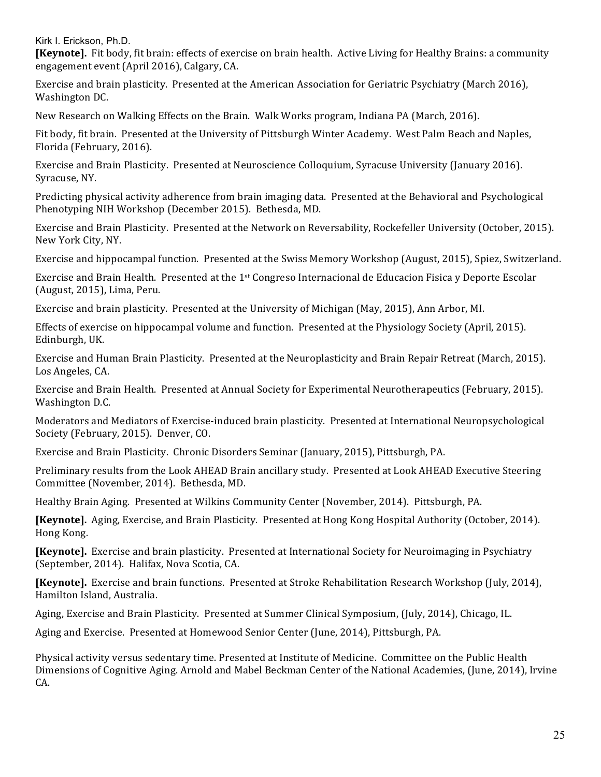**[Keynote].** Fit body, fit brain: effects of exercise on brain health. Active Living for Healthy Brains: a community engagement event (April 2016), Calgary, CA.

Exercise and brain plasticity. Presented at the American Association for Geriatric Psychiatry (March 2016), Washington DC.

New Research on Walking Effects on the Brain. Walk Works program, Indiana PA (March, 2016).

Fit body, fit brain. Presented at the University of Pittsburgh Winter Academy. West Palm Beach and Naples, Florida (February, 2016).

Exercise and Brain Plasticity. Presented at Neuroscience Colloquium, Syracuse University (January 2016). Syracuse, NY.

Predicting physical activity adherence from brain imaging data. Presented at the Behavioral and Psychological Phenotyping NIH Workshop (December 2015). Bethesda, MD.

Exercise and Brain Plasticity. Presented at the Network on Reversability, Rockefeller University (October, 2015). New York City, NY.

Exercise and hippocampal function. Presented at the Swiss Memory Workshop (August, 2015), Spiez, Switzerland.

Exercise and Brain Health. Presented at the  $1<sup>st</sup>$  Congreso Internacional de Educacion Fisica y Deporte Escolar (August, 2015), Lima, Peru.

Exercise and brain plasticity. Presented at the University of Michigan (May, 2015), Ann Arbor, MI.

Effects of exercise on hippocampal volume and function. Presented at the Physiology Society (April, 2015). Edinburgh, UK.

Exercise and Human Brain Plasticity. Presented at the Neuroplasticity and Brain Repair Retreat (March, 2015). Los Angeles, CA.

Exercise and Brain Health. Presented at Annual Society for Experimental Neurotherapeutics (February, 2015). Washington D.C.

Moderators and Mediators of Exercise-induced brain plasticity. Presented at International Neuropsychological Society (February, 2015). Denver, CO.

Exercise and Brain Plasticity. Chronic Disorders Seminar (January, 2015), Pittsburgh, PA.

Preliminary results from the Look AHEAD Brain ancillary study. Presented at Look AHEAD Executive Steering Committee (November, 2014). Bethesda, MD.

Healthy Brain Aging. Presented at Wilkins Community Center (November, 2014). Pittsburgh, PA.

**[Keynote].** Aging, Exercise, and Brain Plasticity. Presented at Hong Kong Hospital Authority (October, 2014). Hong Kong.

**[Keynote].** Exercise and brain plasticity. Presented at International Society for Neuroimaging in Psychiatry (September, 2014). Halifax, Nova Scotia, CA.

**[Keynote].** Exercise and brain functions. Presented at Stroke Rehabilitation Research Workshop (July, 2014), Hamilton Island, Australia.

Aging, Exercise and Brain Plasticity. Presented at Summer Clinical Symposium, (July, 2014), Chicago, IL.

Aging and Exercise. Presented at Homewood Senior Center (June, 2014), Pittsburgh, PA.

Physical activity versus sedentary time. Presented at Institute of Medicine. Committee on the Public Health Dimensions of Cognitive Aging. Arnold and Mabel Beckman Center of the National Academies, (June, 2014), Irvine CA.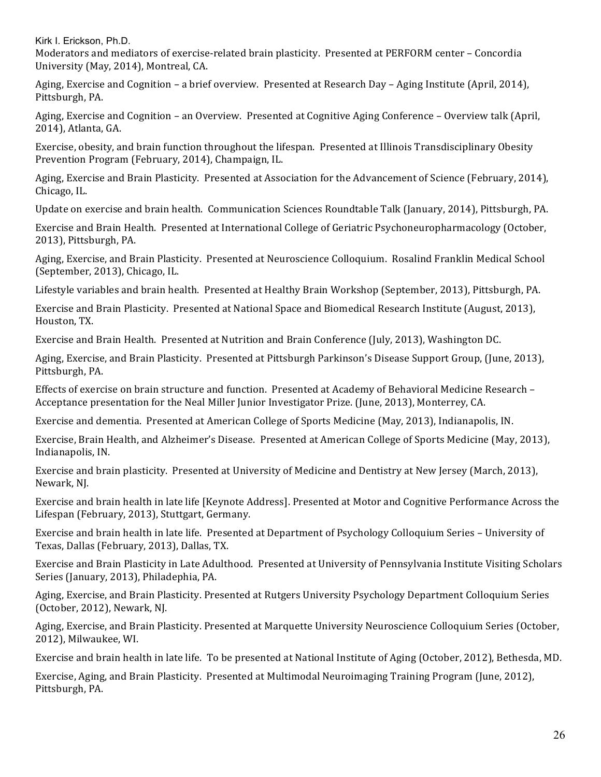Moderators and mediators of exercise-related brain plasticity. Presented at PERFORM center - Concordia University (May, 2014), Montreal, CA.

Aging, Exercise and Cognition – a brief overview. Presented at Research Day – Aging Institute (April, 2014), Pittsburgh, PA.

Aging, Exercise and Cognition – an Overview. Presented at Cognitive Aging Conference – Overview talk (April, 2014), Atlanta, GA.

Exercise, obesity, and brain function throughout the lifespan. Presented at Illinois Transdisciplinary Obesity Prevention Program (February, 2014), Champaign, IL.

Aging, Exercise and Brain Plasticity. Presented at Association for the Advancement of Science (February, 2014), Chicago, IL.

Update on exercise and brain health. Communication Sciences Roundtable Talk (January, 2014), Pittsburgh, PA.

Exercise and Brain Health. Presented at International College of Geriatric Psychoneuropharmacology (October, 2013), Pittsburgh, PA.

Aging, Exercise, and Brain Plasticity. Presented at Neuroscience Colloquium. Rosalind Franklin Medical School (September, 2013), Chicago, IL.

Lifestyle variables and brain health. Presented at Healthy Brain Workshop (September, 2013), Pittsburgh, PA.

Exercise and Brain Plasticity. Presented at National Space and Biomedical Research Institute (August, 2013), Houston, TX.

Exercise and Brain Health. Presented at Nutrition and Brain Conference (July, 2013), Washington DC.

Aging, Exercise, and Brain Plasticity. Presented at Pittsburgh Parkinson's Disease Support Group, (June, 2013), Pittsburgh, PA.

Effects of exercise on brain structure and function. Presented at Academy of Behavioral Medicine Research -Acceptance presentation for the Neal Miller Junior Investigator Prize. (June, 2013), Monterrey, CA.

Exercise and dementia. Presented at American College of Sports Medicine (May, 2013), Indianapolis, IN.

Exercise, Brain Health, and Alzheimer's Disease. Presented at American College of Sports Medicine (May, 2013), Indianapolis, IN.

Exercise and brain plasticity. Presented at University of Medicine and Dentistry at New Jersey (March, 2013), Newark, NJ.

Exercise and brain health in late life [Keynote Address]. Presented at Motor and Cognitive Performance Across the Lifespan (February, 2013), Stuttgart, Germany.

Exercise and brain health in late life. Presented at Department of Psychology Colloquium Series – University of Texas, Dallas (February, 2013), Dallas, TX.

Exercise and Brain Plasticity in Late Adulthood. Presented at University of Pennsylvania Institute Visiting Scholars Series (January, 2013), Philadephia, PA.

Aging, Exercise, and Brain Plasticity. Presented at Rutgers University Psychology Department Colloquium Series  $(October, 2012)$ , Newark, NJ.

Aging, Exercise, and Brain Plasticity. Presented at Marquette University Neuroscience Colloquium Series (October, 2012), Milwaukee, WI.

Exercise and brain health in late life. To be presented at National Institute of Aging (October, 2012), Bethesda, MD.

Exercise, Aging, and Brain Plasticity. Presented at Multimodal Neuroimaging Training Program (June, 2012), Pittsburgh, PA.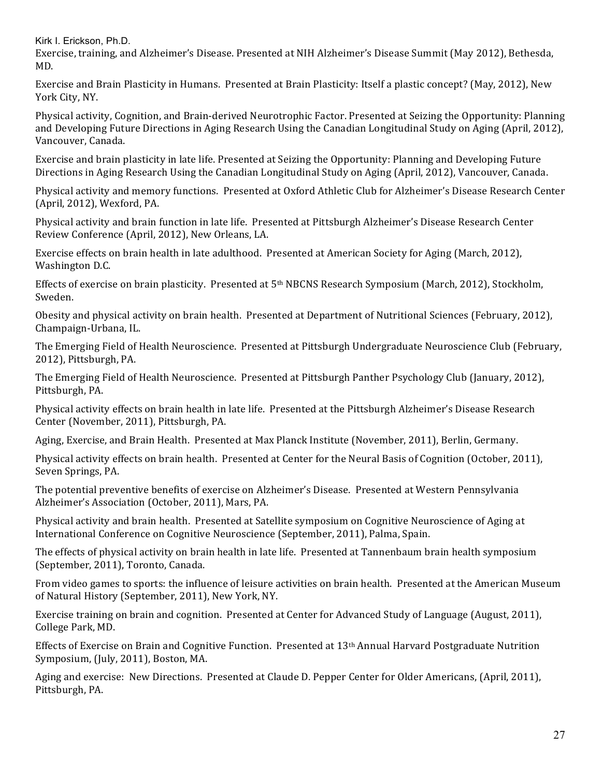Exercise, training, and Alzheimer's Disease. Presented at NIH Alzheimer's Disease Summit (May 2012), Bethesda, MD.

Exercise and Brain Plasticity in Humans. Presented at Brain Plasticity: Itself a plastic concept? (May, 2012), New York City, NY.

Physical activity, Cognition, and Brain-derived Neurotrophic Factor. Presented at Seizing the Opportunity: Planning and Developing Future Directions in Aging Research Using the Canadian Longitudinal Study on Aging (April, 2012), Vancouver, Canada.

Exercise and brain plasticity in late life. Presented at Seizing the Opportunity: Planning and Developing Future Directions in Aging Research Using the Canadian Longitudinal Study on Aging (April, 2012), Vancouver, Canada.

Physical activity and memory functions. Presented at Oxford Athletic Club for Alzheimer's Disease Research Center (April, 2012), Wexford, PA.

Physical activity and brain function in late life. Presented at Pittsburgh Alzheimer's Disease Research Center Review Conference (April, 2012), New Orleans, LA.

Exercise effects on brain health in late adulthood. Presented at American Society for Aging (March, 2012), Washington D.C.

Effects of exercise on brain plasticity. Presented at  $5<sup>th</sup>$  NBCNS Research Symposium (March, 2012), Stockholm, Sweden.

Obesity and physical activity on brain health. Presented at Department of Nutritional Sciences (February, 2012), Champaign-Urbana, IL.

The Emerging Field of Health Neuroscience. Presented at Pittsburgh Undergraduate Neuroscience Club (February, 2012), Pittsburgh, PA.

The Emerging Field of Health Neuroscience. Presented at Pittsburgh Panther Psychology Club (January, 2012), Pittsburgh, PA.

Physical activity effects on brain health in late life. Presented at the Pittsburgh Alzheimer's Disease Research Center (November, 2011), Pittsburgh, PA.

Aging, Exercise, and Brain Health. Presented at Max Planck Institute (November, 2011), Berlin, Germany.

Physical activity effects on brain health. Presented at Center for the Neural Basis of Cognition (October, 2011), Seven Springs, PA.

The potential preventive benefits of exercise on Alzheimer's Disease. Presented at Western Pennsylvania Alzheimer's Association (October, 2011), Mars, PA.

Physical activity and brain health. Presented at Satellite symposium on Cognitive Neuroscience of Aging at International Conference on Cognitive Neuroscience (September, 2011), Palma, Spain.

The effects of physical activity on brain health in late life. Presented at Tannenbaum brain health symposium (September, 2011), Toronto, Canada.

From video games to sports: the influence of leisure activities on brain health. Presented at the American Museum of Natural History (September, 2011), New York, NY.

Exercise training on brain and cognition. Presented at Center for Advanced Study of Language (August, 2011), College Park, MD.

Effects of Exercise on Brain and Cognitive Function. Presented at 13th Annual Harvard Postgraduate Nutrition Symposium, (July, 2011), Boston, MA.

Aging and exercise: New Directions. Presented at Claude D. Pepper Center for Older Americans, (April, 2011), Pittsburgh, PA.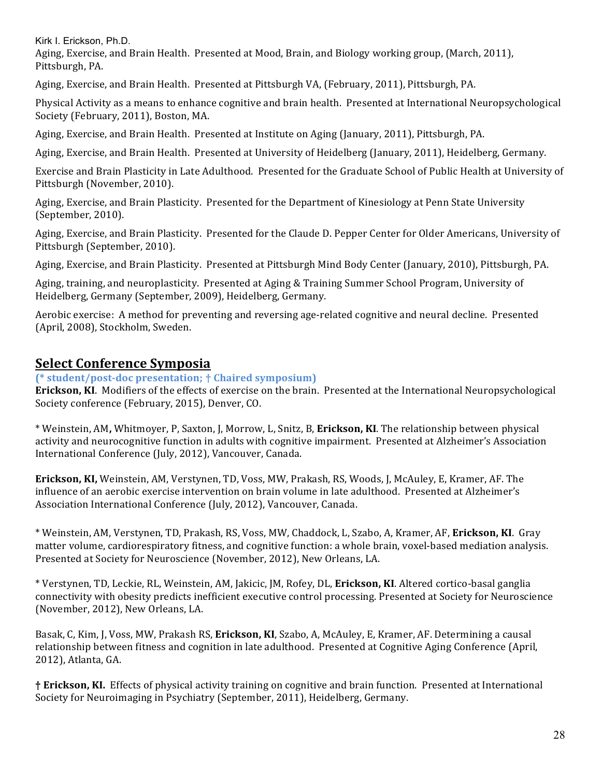Aging, Exercise, and Brain Health. Presented at Mood, Brain, and Biology working group, (March, 2011), Pittsburgh, PA.

Aging, Exercise, and Brain Health. Presented at Pittsburgh VA, (February, 2011), Pittsburgh, PA.

Physical Activity as a means to enhance cognitive and brain health. Presented at International Neuropsychological Society (February, 2011), Boston, MA.

Aging, Exercise, and Brain Health. Presented at Institute on Aging (January, 2011), Pittsburgh, PA.

Aging, Exercise, and Brain Health. Presented at University of Heidelberg (January, 2011), Heidelberg, Germany.

Exercise and Brain Plasticity in Late Adulthood. Presented for the Graduate School of Public Health at University of Pittsburgh (November, 2010).

Aging, Exercise, and Brain Plasticity. Presented for the Department of Kinesiology at Penn State University (September, 2010).

Aging, Exercise, and Brain Plasticity. Presented for the Claude D. Pepper Center for Older Americans, University of Pittsburgh (September, 2010).

Aging, Exercise, and Brain Plasticity. Presented at Pittsburgh Mind Body Center (January, 2010), Pittsburgh, PA.

Aging, training, and neuroplasticity. Presented at Aging & Training Summer School Program, University of Heidelberg, Germany (September, 2009), Heidelberg, Germany.

Aerobic exercise: A method for preventing and reversing age-related cognitive and neural decline. Presented (April, 2008), Stockholm, Sweden.

## **Select Conference Symposia**

**(\* student/post-doc presentation; † Chaired symposium)**

Erickson, KI. Modifiers of the effects of exercise on the brain. Presented at the International Neuropsychological Society conference (February, 2015), Denver, CO.

\* Weinstein, AM, Whitmoyer, P, Saxton, J, Morrow, L, Snitz, B, **Erickson, KI**. The relationship between physical activity and neurocognitive function in adults with cognitive impairment. Presented at Alzheimer's Association International Conference (July, 2012), Vancouver, Canada.

**Erickson, KI,** Weinstein, AM, Verstynen, TD, Voss, MW, Prakash, RS, Woods, J, McAuley, E, Kramer, AF. The influence of an aerobic exercise intervention on brain volume in late adulthood. Presented at Alzheimer's Association International Conference (July, 2012), Vancouver, Canada.

\* Weinstein, AM, Verstynen, TD, Prakash, RS, Voss, MW, Chaddock, L, Szabo, A, Kramer, AF, Erickson, KI. Gray matter volume, cardiorespiratory fitness, and cognitive function: a whole brain, voxel-based mediation analysis. Presented at Society for Neuroscience (November, 2012), New Orleans, LA.

\* Verstynen, TD, Leckie, RL, Weinstein, AM, Jakicic, JM, Rofey, DL, **Erickson, KI**. Altered cortico-basal ganglia connectivity with obesity predicts inefficient executive control processing. Presented at Society for Neuroscience (November, 2012), New Orleans, LA.

Basak, C, Kim, J, Voss, MW, Prakash RS, **Erickson, KI**, Szabo, A, McAuley, E, Kramer, AF. Determining a causal relationship between fitness and cognition in late adulthood. Presented at Cognitive Aging Conference (April, 2012), Atlanta, GA.

**† Erickson, KI.** Effects of physical activity training on cognitive and brain function. Presented at International Society for Neuroimaging in Psychiatry (September, 2011), Heidelberg, Germany.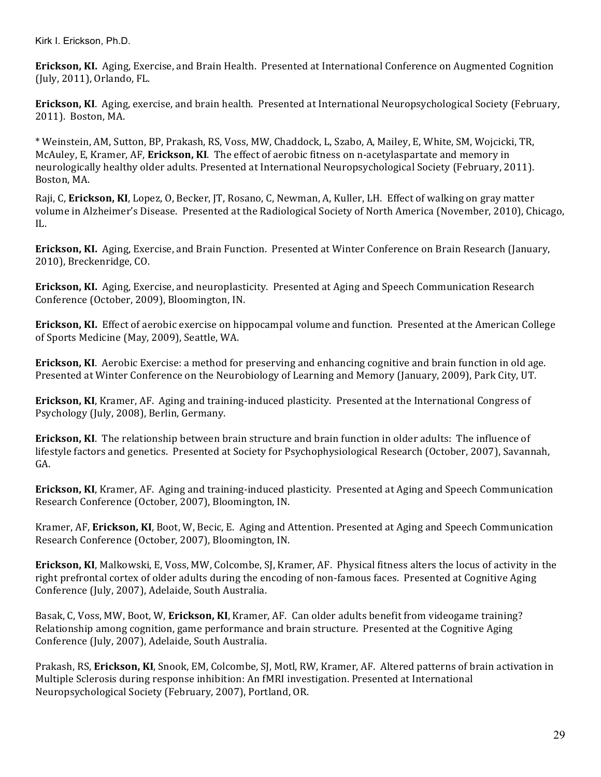**Erickson, KI.** Aging, Exercise, and Brain Health. Presented at International Conference on Augmented Cognition (July, 2011), Orlando, FL.

Erickson, KI. Aging, exercise, and brain health. Presented at International Neuropsychological Society (February, 2011). Boston, MA.

\* Weinstein, AM, Sutton, BP, Prakash, RS, Voss, MW, Chaddock, L, Szabo, A, Mailey, E, White, SM, Wojcicki, TR, McAuley, E, Kramer, AF, Erickson, KI. The effect of aerobic fitness on n-acetylaspartate and memory in neurologically healthy older adults. Presented at International Neuropsychological Society (February, 2011). Boston, MA.

Raji, C, Erickson, KI, Lopez, O, Becker, JT, Rosano, C, Newman, A, Kuller, LH. Effect of walking on gray matter volume in Alzheimer's Disease. Presented at the Radiological Society of North America (November, 2010), Chicago, IL.

**Erickson, KI.** Aging, Exercise, and Brain Function. Presented at Winter Conference on Brain Research (January, 2010), Breckenridge, CO.

**Erickson, KI.** Aging, Exercise, and neuroplasticity. Presented at Aging and Speech Communication Research Conference (October, 2009), Bloomington, IN.

**Erickson, KI.** Effect of aerobic exercise on hippocampal volume and function. Presented at the American College of Sports Medicine (May, 2009), Seattle, WA.

**Erickson, KI**. Aerobic Exercise: a method for preserving and enhancing cognitive and brain function in old age. Presented at Winter Conference on the Neurobiology of Learning and Memory (January, 2009), Park City, UT.

**Erickson, KI**, Kramer, AF. Aging and training-induced plasticity. Presented at the International Congress of Psychology (July, 2008), Berlin, Germany.

**Erickson, KI.** The relationship between brain structure and brain function in older adults: The influence of lifestyle factors and genetics. Presented at Society for Psychophysiological Research (October, 2007), Savannah, GA.

**Erickson, KI**, Kramer, AF. Aging and training-induced plasticity. Presented at Aging and Speech Communication Research Conference (October, 2007), Bloomington, IN.

Kramer, AF, **Erickson, KI**, Boot, W, Becic, E. Aging and Attention. Presented at Aging and Speech Communication Research Conference (October, 2007), Bloomington, IN.

**Erickson, KI**, Malkowski, E, Voss, MW, Colcombe, SJ, Kramer, AF. Physical fitness alters the locus of activity in the right prefrontal cortex of older adults during the encoding of non-famous faces. Presented at Cognitive Aging Conference (July, 2007), Adelaide, South Australia.

Basak, C, Voss, MW, Boot, W, Erickson, KI, Kramer, AF. Can older adults benefit from videogame training? Relationship among cognition, game performance and brain structure. Presented at the Cognitive Aging Conference (July, 2007), Adelaide, South Australia.

Prakash, RS, Erickson, KI, Snook, EM, Colcombe, SJ, Motl, RW, Kramer, AF. Altered patterns of brain activation in Multiple Sclerosis during response inhibition: An fMRI investigation. Presented at International Neuropsychological Society (February, 2007), Portland, OR.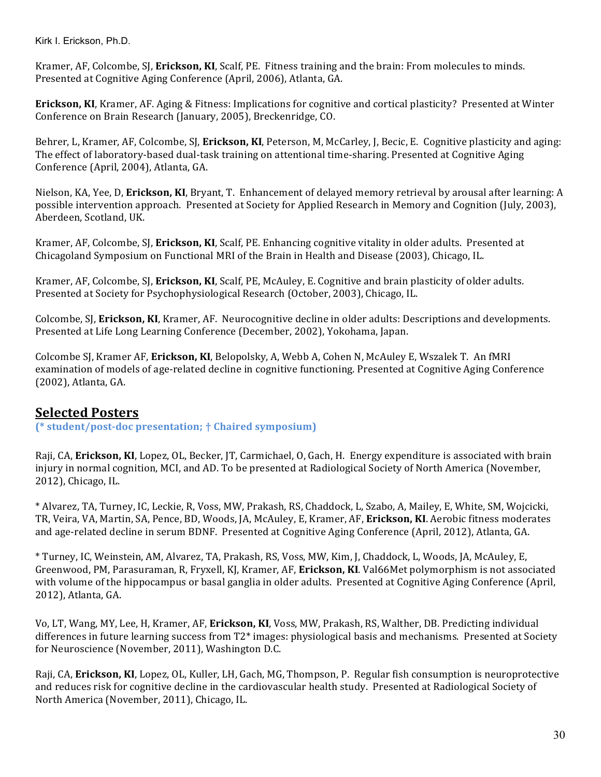Kramer, AF, Colcombe, SJ, **Erickson, KI**, Scalf, PE. Fitness training and the brain: From molecules to minds. Presented at Cognitive Aging Conference (April, 2006), Atlanta, GA.

**Erickson, KI**, Kramer, AF. Aging & Fitness: Implications for cognitive and cortical plasticity? Presented at Winter Conference on Brain Research (January, 2005), Breckenridge, CO.

Behrer, L. Kramer, AF, Colcombe, SJ, **Erickson, KI**, Peterson, M, McCarley, J. Becic, E. Cognitive plasticity and aging: The effect of laboratory-based dual-task training on attentional time-sharing. Presented at Cognitive Aging Conference (April, 2004), Atlanta, GA.

Nielson, KA, Yee, D, Erickson, KI, Bryant, T. Enhancement of delayed memory retrieval by arousal after learning: A possible intervention approach. Presented at Society for Applied Research in Memory and Cognition (July, 2003), Aberdeen, Scotland, UK.

Kramer, AF, Colcombe, SJ, **Erickson, KI**, Scalf, PE. Enhancing cognitive vitality in older adults. Presented at Chicagoland Symposium on Functional MRI of the Brain in Health and Disease (2003), Chicago, IL.

Kramer, AF, Colcombe, SJ, **Erickson, KI**, Scalf, PE, McAuley, E. Cognitive and brain plasticity of older adults. Presented at Society for Psychophysiological Research (October, 2003), Chicago, IL.

Colcombe, SJ, **Erickson, KI**, Kramer, AF. Neurocognitive decline in older adults: Descriptions and developments. Presented at Life Long Learning Conference (December, 2002), Yokohama, Japan.

Colcombe SJ, Kramer AF, **Erickson, KI**, Belopolsky, A, Webb A, Cohen N, McAuley E, Wszalek T. An fMRI examination of models of age-related decline in cognitive functioning. Presented at Cognitive Aging Conference (2002), Atlanta, GA.

### **Selected Posters**

**(\* student/post-doc presentation; † Chaired symposium)**

Raji, CA, Erickson, KI, Lopez, OL, Becker, JT, Carmichael, O, Gach, H. Energy expenditure is associated with brain injury in normal cognition, MCI, and AD. To be presented at Radiological Society of North America (November, 2012), Chicago, IL.

\* Alvarez, TA, Turney, IC, Leckie, R, Voss, MW, Prakash, RS, Chaddock, L, Szabo, A, Mailey, E, White, SM, Wojcicki, TR, Veira, VA, Martin, SA, Pence, BD, Woods, JA, McAuley, E, Kramer, AF, **Erickson, KI**. Aerobic fitness moderates and age-related decline in serum BDNF. Presented at Cognitive Aging Conference (April, 2012), Atlanta, GA.

\* Turney, IC, Weinstein, AM, Alvarez, TA, Prakash, RS, Voss, MW, Kim, J, Chaddock, L, Woods, JA, McAuley, E, Greenwood, PM, Parasuraman, R, Fryxell, KJ, Kramer, AF, **Erickson, KI**. Val66Met polymorphism is not associated with volume of the hippocampus or basal ganglia in older adults. Presented at Cognitive Aging Conference (April, 2012), Atlanta, GA.

Vo, LT, Wang, MY, Lee, H, Kramer, AF, **Erickson, KI**, Voss, MW, Prakash, RS, Walther, DB. Predicting individual differences in future learning success from  $T2^*$  images: physiological basis and mechanisms. Presented at Society for Neuroscience (November, 2011), Washington D.C.

Raji, CA, Erickson, KI, Lopez, OL, Kuller, LH, Gach, MG, Thompson, P. Regular fish consumption is neuroprotective and reduces risk for cognitive decline in the cardiovascular health study. Presented at Radiological Society of North America (November, 2011), Chicago, IL.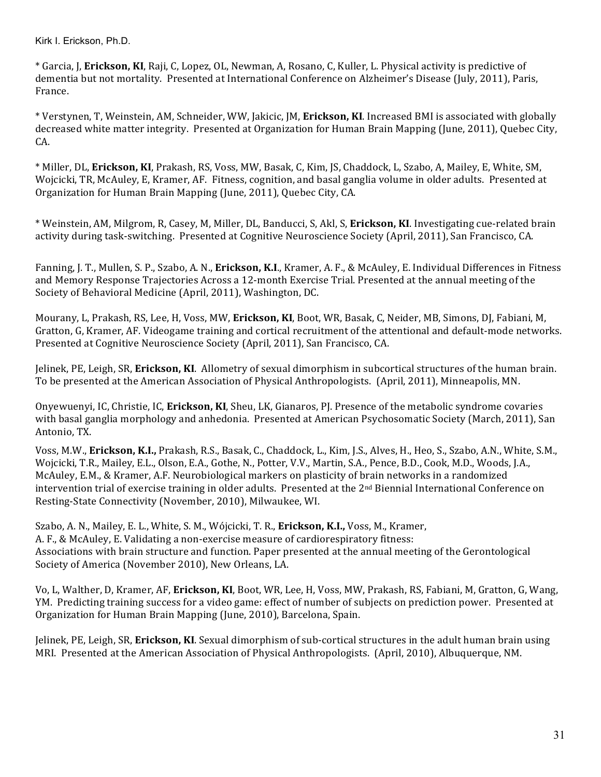\* Garcia, J. **Erickson, KI**, Raji, C, Lopez, OL, Newman, A, Rosano, C, Kuller, L. Physical activity is predictive of dementia but not mortality. Presented at International Conference on Alzheimer's Disease (July, 2011), Paris, France.

\* Verstynen, T, Weinstein, AM, Schneider, WW, Jakicic, JM, **Erickson, KI**. Increased BMI is associated with globally decreased white matter integrity. Presented at Organization for Human Brain Mapping (June, 2011), Quebec City, CA.

\* Miller, DL, Erickson, KI, Prakash, RS, Voss, MW, Basak, C, Kim, JS, Chaddock, L, Szabo, A, Mailey, E, White, SM, Wojcicki, TR, McAuley, E, Kramer, AF. Fitness, cognition, and basal ganglia volume in older adults. Presented at Organization for Human Brain Mapping (June, 2011), Quebec City, CA.

\* Weinstein, AM, Milgrom, R, Casey, M, Miller, DL, Banducci, S, Akl, S, **Erickson, KI**. Investigating cue-related brain activity during task-switching. Presented at Cognitive Neuroscience Society (April, 2011), San Francisco, CA.

Fanning, J. T., Mullen, S. P., Szabo, A. N., **Erickson, K.I.**, Kramer, A. F., & McAuley, E. Individual Differences in Fitness and Memory Response Trajectories Across a 12-month Exercise Trial. Presented at the annual meeting of the Society of Behavioral Medicine (April, 2011), Washington, DC.

Mourany, L, Prakash, RS, Lee, H, Voss, MW, Erickson, KI, Boot, WR, Basak, C, Neider, MB, Simons, DJ, Fabiani, M, Gratton, G, Kramer, AF. Videogame training and cortical recruitment of the attentional and default-mode networks. Presented at Cognitive Neuroscience Society (April, 2011), San Francisco, CA.

Jelinek, PE, Leigh, SR, Erickson, KI. Allometry of sexual dimorphism in subcortical structures of the human brain. To be presented at the American Association of Physical Anthropologists. (April, 2011), Minneapolis, MN.

Onvewuenvi. IC, Christie, IC, Erickson, KI, Sheu, LK, Gianaros, PJ. Presence of the metabolic syndrome covaries with basal ganglia morphology and anhedonia. Presented at American Psychosomatic Society (March, 2011), San Antonio, TX.

Voss, M.W., Erickson, K.I., Prakash, R.S., Basak, C., Chaddock, L., Kim, J.S., Alves, H., Heo, S., Szabo, A.N., White, S.M., Wojcicki, T.R., Mailey, E.L., Olson, E.A., Gothe, N., Potter, V.V., Martin, S.A., Pence, B.D., Cook, M.D., Woods, J.A., McAuley, E.M., & Kramer, A.F. Neurobiological markers on plasticity of brain networks in a randomized intervention trial of exercise training in older adults. Presented at the 2<sup>nd</sup> Biennial International Conference on Resting-State Connectivity (November, 2010), Milwaukee, WI.

Szabo, A. N., Mailey, E. L., White, S. M., Wójcicki, T. R., Erickson, K.I., Voss, M., Kramer, A. F., & McAuley, E. Validating a non-exercise measure of cardiorespiratory fitness: Associations with brain structure and function. Paper presented at the annual meeting of the Gerontological Society of America (November 2010), New Orleans, LA.

Vo, L, Walther, D, Kramer, AF, Erickson, KI, Boot, WR, Lee, H, Voss, MW, Prakash, RS, Fabiani, M, Gratton, G, Wang, YM. Predicting training success for a video game: effect of number of subjects on prediction power. Presented at Organization for Human Brain Mapping (June, 2010), Barcelona, Spain.

Jelinek, PE, Leigh, SR, **Erickson, KI**. Sexual dimorphism of sub-cortical structures in the adult human brain using MRI. Presented at the American Association of Physical Anthropologists. (April, 2010), Albuquerque, NM.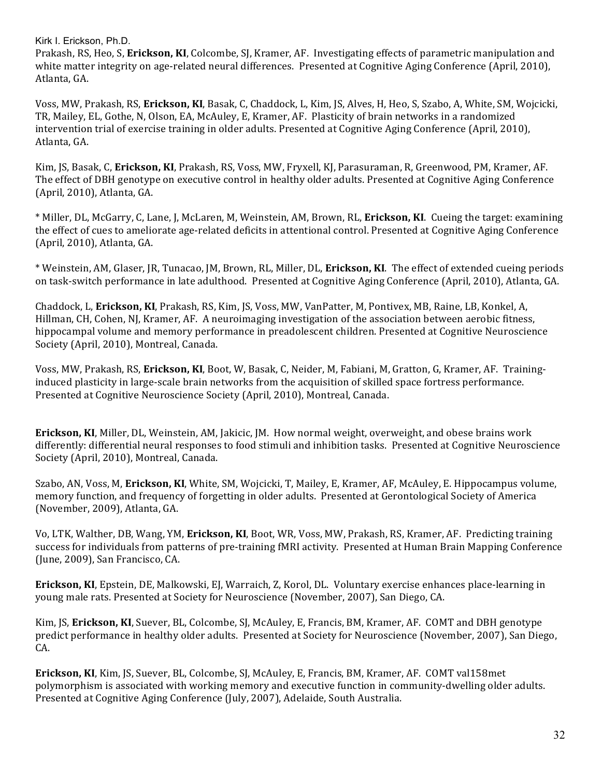Prakash, RS, Heo, S, **Erickson, KI**, Colcombe, SJ, Kramer, AF. Investigating effects of parametric manipulation and white matter integrity on age-related neural differences. Presented at Cognitive Aging Conference (April, 2010), Atlanta, GA.

Voss, MW, Prakash, RS, Erickson, KI, Basak, C, Chaddock, L, Kim, JS, Alves, H, Heo, S, Szabo, A, White, SM, Wojcicki, TR, Mailey, EL, Gothe, N, Olson, EA, McAuley, E, Kramer, AF. Plasticity of brain networks in a randomized intervention trial of exercise training in older adults. Presented at Cognitive Aging Conference (April, 2010), Atlanta, GA.

Kim, JS, Basak, C, Erickson, KI, Prakash, RS, Voss, MW, Fryxell, KJ, Parasuraman, R, Greenwood, PM, Kramer, AF. The effect of DBH genotype on executive control in healthy older adults. Presented at Cognitive Aging Conference (April, 2010), Atlanta, GA.

\* Miller, DL, McGarry, C, Lane, J, McLaren, M, Weinstein, AM, Brown, RL, **Erickson, KI**. Cueing the target: examining the effect of cues to ameliorate age-related deficits in attentional control. Presented at Cognitive Aging Conference (April, 2010), Atlanta, GA.

\* Weinstein, AM, Glaser, JR, Tunacao, JM, Brown, RL, Miller, DL, Erickson, KI. The effect of extended cueing periods on task-switch performance in late adulthood. Presented at Cognitive Aging Conference (April, 2010), Atlanta, GA.

Chaddock, L, Erickson, KI, Prakash, RS, Kim, JS, Voss, MW, VanPatter, M, Pontivex, MB, Raine, LB, Konkel, A, Hillman, CH, Cohen, NJ, Kramer, AF. A neuroimaging investigation of the association between aerobic fitness, hippocampal volume and memory performance in preadolescent children. Presented at Cognitive Neuroscience Society (April, 2010), Montreal, Canada.

Voss, MW, Prakash, RS, Erickson, KI, Boot, W, Basak, C, Neider, M, Fabiani, M, Gratton, G, Kramer, AF. Traininginduced plasticity in large-scale brain networks from the acquisition of skilled space fortress performance. Presented at Cognitive Neuroscience Society (April, 2010), Montreal, Canada.

**Erickson, KI**, Miller, DL, Weinstein, AM, Jakicic, JM. How normal weight, overweight, and obese brains work differently: differential neural responses to food stimuli and inhibition tasks. Presented at Cognitive Neuroscience Society (April, 2010), Montreal, Canada.

Szabo, AN, Voss, M, Erickson, KI, White, SM, Wojcicki, T, Mailey, E, Kramer, AF, McAuley, E. Hippocampus volume, memory function, and frequency of forgetting in older adults. Presented at Gerontological Society of America (November, 2009), Atlanta, GA.

Vo, LTK, Walther, DB, Wang, YM, Erickson, KI, Boot, WR, Voss, MW, Prakash, RS, Kramer, AF. Predicting training success for individuals from patterns of pre-training fMRI activity. Presented at Human Brain Mapping Conference (June, 2009), San Francisco, CA.

**Erickson, KI**, Epstein, DE, Malkowski, EJ, Warraich, Z, Korol, DL. Voluntary exercise enhances place-learning in young male rats. Presented at Society for Neuroscience (November, 2007), San Diego, CA.

Kim, *JS*, Erickson, KI, Suever, BL, Colcombe, SJ, McAuley, E, Francis, BM, Kramer, AF. COMT and DBH genotype predict performance in healthy older adults. Presented at Society for Neuroscience (November, 2007), San Diego, CA.

**Erickson, KI**, Kim, JS, Suever, BL, Colcombe, SJ, McAuley, E, Francis, BM, Kramer, AF. COMT val158met polymorphism is associated with working memory and executive function in community-dwelling older adults. Presented at Cognitive Aging Conference (July, 2007), Adelaide, South Australia.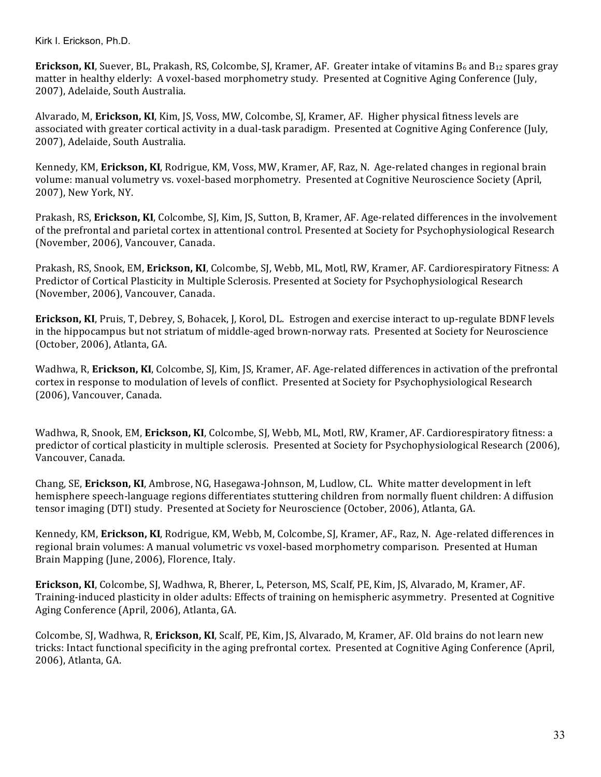**Erickson, KI**, Suever, BL, Prakash, RS, Colcombe, SJ, Kramer, AF. Greater intake of vitamins  $B_6$  and  $B_{12}$  spares gray matter in healthy elderly: A voxel-based morphometry study. Presented at Cognitive Aging Conference (July, 2007), Adelaide, South Australia.

Alvarado, M, Erickson, KI, Kim, JS, Voss, MW, Colcombe, SJ, Kramer, AF. Higher physical fitness levels are associated with greater cortical activity in a dual-task paradigm. Presented at Cognitive Aging Conference (July, 2007), Adelaide, South Australia.

Kennedy, KM, Erickson, KI, Rodrigue, KM, Voss, MW, Kramer, AF, Raz, N. Age-related changes in regional brain volume: manual volumetry vs. voxel-based morphometry. Presented at Cognitive Neuroscience Society (April, 2007), New York, NY.

Prakash, RS, Erickson, KI, Colcombe, SJ, Kim, JS, Sutton, B, Kramer, AF. Age-related differences in the involvement of the prefrontal and parietal cortex in attentional control. Presented at Society for Psychophysiological Research (November, 2006), Vancouver, Canada.

Prakash, RS, Snook, EM, Erickson, KI, Colcombe, SJ, Webb, ML, Motl, RW, Kramer, AF. Cardiorespiratory Fitness: A Predictor of Cortical Plasticity in Multiple Sclerosis. Presented at Society for Psychophysiological Research (November, 2006), Vancouver, Canada.

Erickson, KI, Pruis, T, Debrey, S, Bohacek, J, Korol, DL. Estrogen and exercise interact to up-regulate BDNF levels in the hippocampus but not striatum of middle-aged brown-norway rats. Presented at Society for Neuroscience (October, 2006), Atlanta, GA.

Wadhwa, R, **Erickson, KI**, Colcombe, SJ, Kim, JS, Kramer, AF. Age-related differences in activation of the prefrontal cortex in response to modulation of levels of conflict. Presented at Society for Psychophysiological Research (2006), Vancouver, Canada.

Wadhwa, R, Snook, EM, Erickson, KI, Colcombe, SJ, Webb, ML, Motl, RW, Kramer, AF. Cardiorespiratory fitness: a predictor of cortical plasticity in multiple sclerosis. Presented at Society for Psychophysiological Research (2006), Vancouver, Canada.

Chang, SE, **Erickson, KI**, Ambrose, NG, Hasegawa-Johnson, M, Ludlow, CL. White matter development in left hemisphere speech-language regions differentiates stuttering children from normally fluent children: A diffusion tensor imaging (DTI) study. Presented at Society for Neuroscience (October, 2006), Atlanta, GA.

Kennedy, KM, Erickson, KI, Rodrigue, KM, Webb, M, Colcombe, SJ, Kramer, AF., Raz, N. Age-related differences in regional brain volumes: A manual volumetric vs voxel-based morphometry comparison. Presented at Human Brain Mapping (June, 2006), Florence, Italy.

Erickson, KI, Colcombe, SJ, Wadhwa, R, Bherer, L, Peterson, MS, Scalf, PE, Kim, JS, Alvarado, M, Kramer, AF. Training-induced plasticity in older adults: Effects of training on hemispheric asymmetry. Presented at Cognitive Aging Conference (April, 2006), Atlanta, GA.

Colcombe, SJ, Wadhwa, R, Erickson, KI, Scalf, PE, Kim, JS, Alvarado, M, Kramer, AF. Old brains do not learn new tricks: Intact functional specificity in the aging prefrontal cortex. Presented at Cognitive Aging Conference (April, 2006), Atlanta, GA.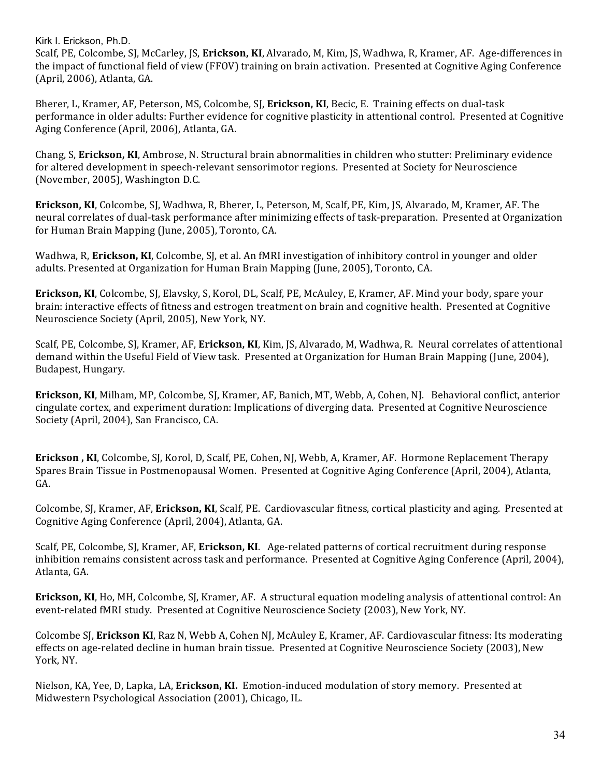Scalf, PE, Colcombe, SJ, McCarley, JS, **Erickson, KI**, Alvarado, M, Kim, JS, Wadhwa, R, Kramer, AF. Age-differences in the impact of functional field of view (FFOV) training on brain activation. Presented at Cognitive Aging Conference (April, 2006), Atlanta, GA.

Bherer, L, Kramer, AF, Peterson, MS, Colcombe, SJ, **Erickson, KI**, Becic, E. Training effects on dual-task performance in older adults: Further evidence for cognitive plasticity in attentional control. Presented at Cognitive Aging Conference (April, 2006), Atlanta, GA.

Chang, S, Erickson, KI, Ambrose, N. Structural brain abnormalities in children who stutter: Preliminary evidence for altered development in speech-relevant sensorimotor regions. Presented at Society for Neuroscience (November, 2005), Washington D.C.

Erickson, KI, Colcombe, SJ, Wadhwa, R, Bherer, L, Peterson, M, Scalf, PE, Kim, JS, Alvarado, M, Kramer, AF. The neural correlates of dual-task performance after minimizing effects of task-preparation. Presented at Organization for Human Brain Mapping (June, 2005), Toronto, CA.

Wadhwa, R, **Erickson, KI**, Colcombe, SJ, et al. An fMRI investigation of inhibitory control in younger and older adults. Presented at Organization for Human Brain Mapping (June, 2005), Toronto, CA.

**Erickson, KI**, Colcombe, SJ, Elavsky, S, Korol, DL, Scalf, PE, McAuley, E, Kramer, AF. Mind your body, spare your brain: interactive effects of fitness and estrogen treatment on brain and cognitive health. Presented at Cognitive Neuroscience Society (April, 2005), New York, NY.

Scalf, PE, Colcombe, SJ, Kramer, AF, Erickson, KI, Kim, JS, Alvarado, M, Wadhwa, R. Neural correlates of attentional demand within the Useful Field of View task. Presented at Organization for Human Brain Mapping (June, 2004), Budapest, Hungary.

**Erickson, KI**, Milham, MP, Colcombe, SJ, Kramer, AF, Banich, MT, Webb, A, Cohen, NJ. Behavioral conflict, anterior cingulate cortex, and experiment duration: Implications of diverging data. Presented at Cognitive Neuroscience Society (April, 2004), San Francisco, CA.

**Erickson, KI,** Colcombe, SJ, Korol, D, Scalf, PE, Cohen, NJ, Webb, A, Kramer, AF. Hormone Replacement Therapy Spares Brain Tissue in Postmenopausal Women. Presented at Cognitive Aging Conference (April, 2004), Atlanta, GA.

Colcombe, SJ, Kramer, AF, Erickson, KI, Scalf, PE. Cardiovascular fitness, cortical plasticity and aging. Presented at Cognitive Aging Conference (April, 2004), Atlanta, GA.

Scalf, PE, Colcombe, SJ, Kramer, AF, **Erickson, KI**. Age-related patterns of cortical recruitment during response inhibition remains consistent across task and performance. Presented at Cognitive Aging Conference (April, 2004), Atlanta, GA.

**Erickson, KI**, Ho, MH, Colcombe, SJ, Kramer, AF. A structural equation modeling analysis of attentional control: An event-related fMRI study. Presented at Cognitive Neuroscience Society (2003), New York, NY.

Colcombe SJ, **Erickson KI**, Raz N, Webb A, Cohen NJ, McAuley E, Kramer, AF. Cardiovascular fitness: Its moderating effects on age-related decline in human brain tissue. Presented at Cognitive Neuroscience Society (2003), New York, NY.

Nielson, KA, Yee, D, Lapka, LA, **Erickson, KI.** Emotion-induced modulation of story memory. Presented at Midwestern Psychological Association (2001), Chicago, IL.